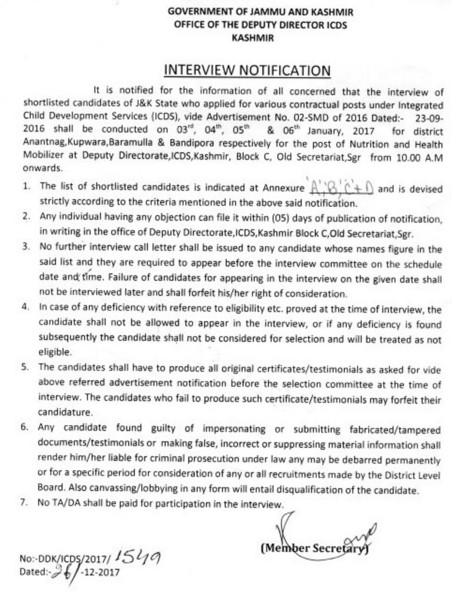### **GOVERNMENT OF JAMMU AND KASHMIR** OFFICE OF THE DEPUTY DIRECTOR ICDS **KASHMIR**

# **INTERVIEW NOTIFICATION**

It is notified for the information of all concerned that the interview of shortlisted candidates of J&K State who applied for various contractual posts under Integrated Child Development Services (ICDS), vide Advertisement No. 02-SMD of 2016 Dated:- $23-09-$ 2016 shall be conducted on 03rd, 04th, 05th & 06<sup>th</sup> January, 2017 for district Anantnag, Kupwara, Baramulla & Bandipora respectively for the post of Nutrition and Health Mobilizer at Deputy Directorate, ICDS, Kashmir, Block C, Old Secretariat, Sgr from 10.00 A.M onwards.

- 1. The list of shortlisted candidates is indicated at Annexure  $A' \otimes^1 C + \bigcap$  and is devised strictly according to the criteria mentioned in the above said notification.
- Any individual having any objection can file it within (05) days of publication of notification, 2. in writing in the office of Deputy Directorate, ICDS, Kashmir Block C, Old Secretariat, Sgr.
- No further interview call letter shall be issued to any candidate whose names figure in the 3. said list and they are required to appear before the interview committee on the schedule date and time. Failure of candidates for appearing in the interview on the given date shall not be interviewed later and shall forfeit his/her right of consideration.
- 4. In case of any deficiency with reference to eligibility etc. proved at the time of interview, the candidate shall not be allowed to appear in the interview, or if any deficiency is found subsequently the candidate shall not be considered for selection and will be treated as not eligible.
- 5. The candidates shall have to produce all original certificates/testimonials as asked for vide above referred advertisement notification before the selection committee at the time of interview. The candidates who fail to produce such certificate/testimonials may forfeit their candidature.
- 6. Any candidate found guilty of impersonating or submitting fabricated/tampered documents/testimonials or making false, incorrect or suppressing material information shall render him/her liable for criminal prosecution under law any may be debarred permanently or for a specific period for consideration of any or all recruitments made by the District Level Board. Also canvassing/lobbying in any form will entail disqualification of the candidate.
- 7. No TA/DA shall be paid for participation in the interview.

No:-DDK/ICDS/2017/ 1549<br>Dated:-26/-12-2017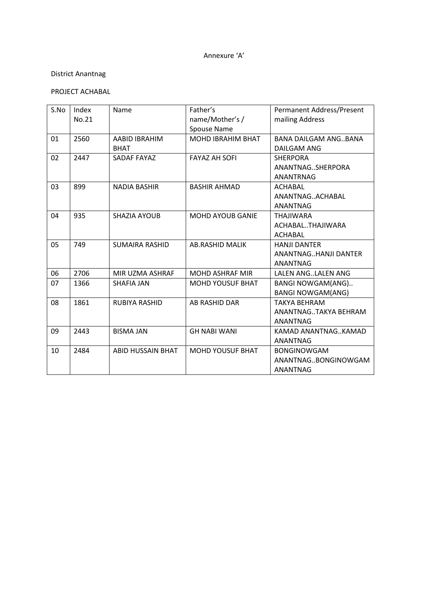#### Annexure 'A'

# District Anantnag

# PROJECT ACHABAL

| S.No | Index<br>No.21 | Name                         | Father's<br>name/Mother's /<br>Spouse Name | Permanent Address/Present<br>mailing Address                   |
|------|----------------|------------------------------|--------------------------------------------|----------------------------------------------------------------|
| 01   | 2560           | AABID IBRAHIM<br><b>BHAT</b> | <b>MOHD IBRAHIM BHAT</b>                   | <b>BANA DAILGAM ANGBANA</b><br>DAILGAM ANG                     |
| 02   | 2447           | SADAF FAYAZ                  | <b>FAYAZ AH SOFI</b>                       | <b>SHERPORA</b><br>ANANTNAGSHERPORA<br><b>ANANTRNAG</b>        |
| 03   | 899            | <b>NADIA BASHIR</b>          | <b>BASHIR AHMAD</b>                        | ACHABAL<br>ANANTNAGACHABAL<br><b>ANANTNAG</b>                  |
| 04   | 935            | SHAZIA AYOUB                 | <b>MOHD AYOUB GANIE</b>                    | <b>THAJIWARA</b><br>ACHABALTHAJIWARA<br><b>ACHABAL</b>         |
| 05   | 749            | <b>SUMAIRA RASHID</b>        | <b>AB.RASHID MALIK</b>                     | <b>HANJI DANTER</b><br>ANANTNAGHANJI DANTER<br>ANANTNAG        |
| 06   | 2706           | MIR UZMA ASHRAF              | <b>MOHD ASHRAF MIR</b>                     | LALEN ANGLALEN ANG                                             |
| 07   | 1366           | SHAFIA JAN                   | <b>MOHD YOUSUF BHAT</b>                    | <b>BANGI NOWGAM(ANG)</b><br><b>BANGI NOWGAM(ANG)</b>           |
| 08   | 1861           | RUBIYA RASHID                | AB RASHID DAR                              | <b>TAKYA BEHRAM</b><br>ANANTNAGTAKYA BEHRAM<br><b>ANANTNAG</b> |
| 09   | 2443           | <b>BISMA JAN</b>             | <b>GH NABI WANI</b>                        | KAMAD ANANTNAGKAMAD<br>ANANTNAG                                |
| 10   | 2484           | <b>ABID HUSSAIN BHAT</b>     | <b>MOHD YOUSUF BHAT</b>                    | <b>BONGINOWGAM</b><br>ANANTNAGBONGINOWGAM<br><b>ANANTNAG</b>   |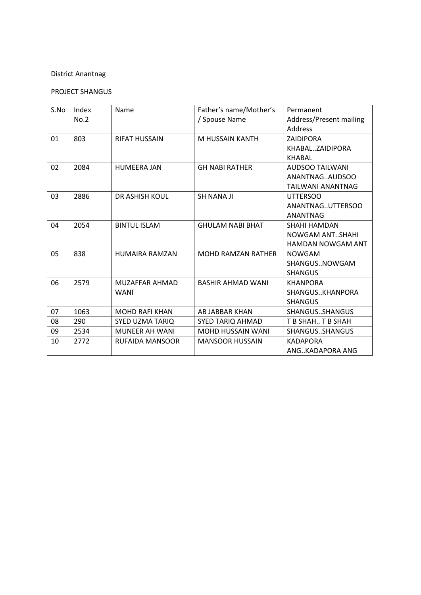### PROJECT SHANGUS

| S.No | Index | <b>Name</b>            | Father's name/Mother's    | Permanent                |
|------|-------|------------------------|---------------------------|--------------------------|
|      | No.2  |                        | / Spouse Name             | Address/Present mailing  |
|      |       |                        |                           | <b>Address</b>           |
| 01   | 803   | <b>RIFAT HUSSAIN</b>   | M HUSSAIN KANTH           | <b>ZAIDIPORA</b>         |
|      |       |                        |                           | KHABALZAIDIPORA          |
|      |       |                        |                           | <b>KHABAL</b>            |
| 02   | 2084  | <b>HUMEERA JAN</b>     | <b>GH NABI RATHER</b>     | <b>AUDSOO TAILWANI</b>   |
|      |       |                        |                           | ANANTNAGAUDSOO           |
|      |       |                        |                           | <b>TAILWANI ANANTNAG</b> |
| 03   | 2886  | <b>DR ASHISH KOUL</b>  | <b>SH NANA JI</b>         | <b>UTTERSOO</b>          |
|      |       |                        |                           | ANANTNAGUTTERSOO         |
|      |       |                        |                           | <b>ANANTNAG</b>          |
| 04   | 2054  | <b>BINTUL ISLAM</b>    | <b>GHULAM NABI BHAT</b>   | SHAHI HAMDAN             |
|      |       |                        |                           | NOWGAM ANTSHAHI          |
|      |       |                        |                           | <b>HAMDAN NOWGAM ANT</b> |
| 05   | 838   | <b>HUMAIRA RAMZAN</b>  | <b>MOHD RAMZAN RATHER</b> | <b>NOWGAM</b>            |
|      |       |                        |                           | SHANGUSNOWGAM            |
|      |       |                        |                           | <b>SHANGUS</b>           |
| 06   | 2579  | MUZAFFAR AHMAD         | <b>BASHIR AHMAD WANI</b>  | <b>KHANPORA</b>          |
|      |       | <b>WANI</b>            |                           | SHANGUSKHANPORA          |
|      |       |                        |                           | <b>SHANGUS</b>           |
| 07   | 1063  | <b>MOHD RAFI KHAN</b>  | AB JABBAR KHAN            | SHANGUSSHANGUS           |
| 08   | 290   | <b>SYED UZMA TARIQ</b> | <b>SYED TARIQ AHMAD</b>   | T B SHAH T B SHAH        |
| 09   | 2534  | <b>MUNEER AH WANI</b>  | <b>MOHD HUSSAIN WANI</b>  | SHANGUSSHANGUS           |
| 10   | 2772  | <b>RUFAIDA MANSOOR</b> | <b>MANSOOR HUSSAIN</b>    | <b>KADAPORA</b>          |
|      |       |                        |                           | ANGKADAPORA ANG          |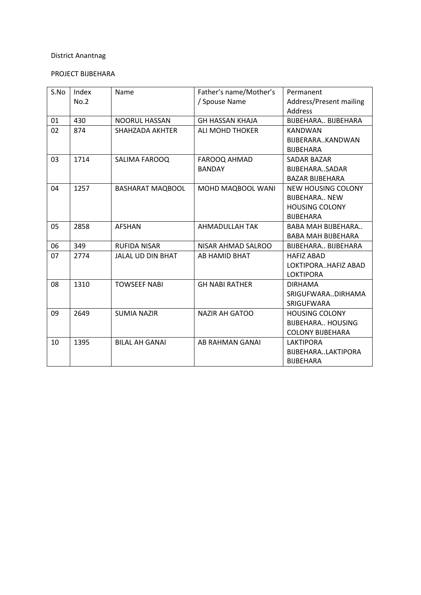# PROJECT BIJBEHARA

| S.No | Index | Name                     | Father's name/Mother's | Permanent                 |
|------|-------|--------------------------|------------------------|---------------------------|
|      | No.2  |                          | / Spouse Name          | Address/Present mailing   |
|      |       |                          |                        | Address                   |
| 01   | 430   | NOORUL HASSAN            | <b>GH HASSAN KHAJA</b> | BIJBEHARA., BIJBEHARA     |
| 02   | 874   | SHAHZADA AKHTER          | <b>ALI MOHD THOKER</b> | <b>KANDWAN</b>            |
|      |       |                          |                        | BIJBERARAKANDWAN          |
|      |       |                          |                        | <b>BIJBEHARA</b>          |
| 03   | 1714  | SALIMA FAROOQ            | FAROOQ AHMAD           | SADAR BAZAR               |
|      |       |                          | <b>BANDAY</b>          | BIJBEHARASADAR            |
|      |       |                          |                        | <b>BAZAR BIJBEHARA</b>    |
| 04   | 1257  | <b>BASHARAT MAQBOOL</b>  | MOHD MAQBOOL WANI      | NEW HOUSING COLONY        |
|      |       |                          |                        | <b>BUBEHARA., NEW</b>     |
|      |       |                          |                        | <b>HOUSING COLONY</b>     |
|      |       |                          |                        | <b>BIJBEHARA</b>          |
| 05   | 2858  | <b>AFSHAN</b>            | AHMADULLAH TAK         | <b>BABA MAH BIJBEHARA</b> |
|      |       |                          |                        | <b>BABA MAH BIJBEHARA</b> |
| 06   | 349   | <b>RUFIDA NISAR</b>      | NISAR AHMAD SALROO     | BIJBEHARA., BIJBEHARA     |
| 07   | 2774  | <b>JALAL UD DIN BHAT</b> | AB HAMID BHAT          | <b>HAFIZ ABAD</b>         |
|      |       |                          |                        | LOKTIPORAHAFIZ ABAD       |
|      |       |                          |                        | <b>LOKTIPORA</b>          |
| 08   | 1310  | <b>TOWSEEF NABI</b>      | <b>GH NABI RATHER</b>  | <b>DIRHAMA</b>            |
|      |       |                          |                        | SRIGUFWARADIRHAMA         |
|      |       |                          |                        | <b>SRIGUFWARA</b>         |
| 09   | 2649  | <b>SUMIA NAZIR</b>       | <b>NAZIR AH GATOO</b>  | <b>HOUSING COLONY</b>     |
|      |       |                          |                        | <b>BIJBEHARA HOUSING</b>  |
|      |       |                          |                        | <b>COLONY BIJBEHARA</b>   |
| 10   | 1395  | <b>BILAL AH GANAI</b>    | AB RAHMAN GANAI        | <b>LAKTIPORA</b>          |
|      |       |                          |                        | BIJBEHARALAKTIPORA        |
|      |       |                          |                        | <b>BIJBEHARA</b>          |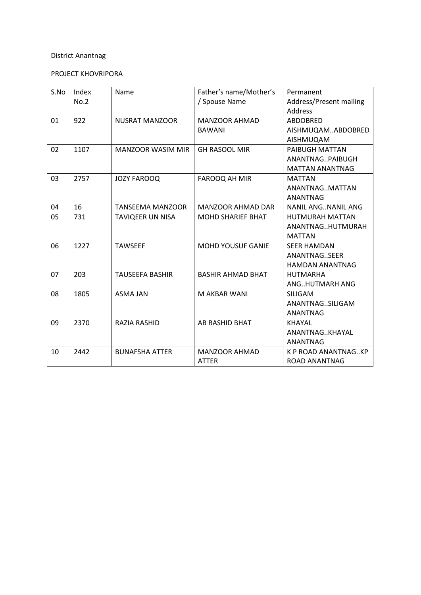# PROJECT KHOVRIPORA

| S.No | Index | Name                     | Father's name/Mother's   | Permanent                 |
|------|-------|--------------------------|--------------------------|---------------------------|
|      | No.2  |                          | / Spouse Name            | Address/Present mailing   |
|      |       |                          |                          | <b>Address</b>            |
| 01   | 922   | <b>NUSRAT MANZOOR</b>    | <b>MANZOOR AHMAD</b>     | <b>ABDOBRED</b>           |
|      |       |                          | <b>BAWANI</b>            | AISHMUQAMABDOBRED         |
|      |       |                          |                          | AISHMUQAM                 |
| 02   | 1107  | <b>MANZOOR WASIM MIR</b> | <b>GH RASOOL MIR</b>     | PAIBUGH MATTAN            |
|      |       |                          |                          | ANANTNAGPAIBUGH           |
|      |       |                          |                          | <b>MATTAN ANANTNAG</b>    |
| 03   | 2757  | <b>JOZY FAROOQ</b>       | FAROOQ AH MIR            | <b>MATTAN</b>             |
|      |       |                          |                          | ANANTNAGMATTAN            |
|      |       |                          |                          | <b>ANANTNAG</b>           |
| 04   | 16    | <b>TANSEEMA MANZOOR</b>  | <b>MANZOOR AHMAD DAR</b> | <b>NANIL ANGNANIL ANG</b> |
| 05   | 731   | <b>TAVIQEER UN NISA</b>  | <b>MOHD SHARIEF BHAT</b> | <b>HUTMURAH MATTAN</b>    |
|      |       |                          |                          | ANANTNAGHUTMURAH          |
|      |       |                          |                          | <b>MATTAN</b>             |
| 06   | 1227  | <b>TAWSEEF</b>           | <b>MOHD YOUSUF GANIE</b> | <b>SEER HAMDAN</b>        |
|      |       |                          |                          | ANANTNAGSEER              |
|      |       |                          |                          | <b>HAMDAN ANANTNAG</b>    |
| 07   | 203   | <b>TAUSEEFA BASHIR</b>   | <b>BASHIR AHMAD BHAT</b> | <b>HUTMARHA</b>           |
|      |       |                          |                          | ANGHUTMARH ANG            |
| 08   | 1805  | <b>ASMA JAN</b>          | M AKBAR WANI             | <b>SILIGAM</b>            |
|      |       |                          |                          | ANANTNAGSILIGAM           |
|      |       |                          |                          | ANANTNAG                  |
| 09   | 2370  | RAZIA RASHID             | AB RASHID BHAT           | <b>KHAYAL</b>             |
|      |       |                          |                          | ANANTNAGKHAYAL            |
|      |       |                          |                          | <b>ANANTNAG</b>           |
| 10   | 2442  | <b>BUNAFSHA ATTER</b>    | <b>MANZOOR AHMAD</b>     | K P ROAD ANANTNAGKP       |
|      |       |                          | <b>ATTER</b>             | ROAD ANANTNAG             |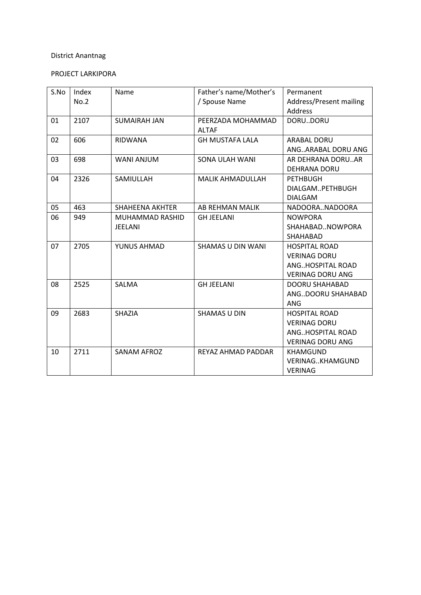# PROJECT LARKIPORA

| S.No | Index | Name                   | Father's name/Mother's   | Permanent               |
|------|-------|------------------------|--------------------------|-------------------------|
|      | No.2  |                        | / Spouse Name            | Address/Present mailing |
|      |       |                        |                          | Address                 |
| 01   | 2107  | <b>SUMAIRAH JAN</b>    | PEERZADA MOHAMMAD        | DORUDORU                |
|      |       |                        | <b>ALTAF</b>             |                         |
| 02   | 606   | <b>RIDWANA</b>         | <b>GH MUSTAFA LALA</b>   | <b>ARABAL DORU</b>      |
|      |       |                        |                          | ANGARABAL DORU ANG      |
| 03   | 698   | <b>WANI ANJUM</b>      | <b>SONA ULAH WANI</b>    | AR DEHRANA DORUAR       |
|      |       |                        |                          | <b>DEHRANA DORU</b>     |
| 04   | 2326  | SAMIULLAH              | <b>MALIK AHMADULLAH</b>  | <b>PETHBUGH</b>         |
|      |       |                        |                          | DIALGAMPETHBUGH         |
|      |       |                        |                          | <b>DIALGAM</b>          |
| 05   | 463   | <b>SHAHEENA AKHTER</b> | AB REHMAN MALIK          | NADOORANADOORA          |
| 06   | 949   | <b>MUHAMMAD RASHID</b> | <b>GH JEELANI</b>        | <b>NOWPORA</b>          |
|      |       | <b>JEELANI</b>         |                          | SHAHABADNOWPORA         |
|      |       |                        |                          | SHAHABAD                |
| 07   | 2705  | YUNUS AHMAD            | <b>SHAMAS U DIN WANI</b> | <b>HOSPITAL ROAD</b>    |
|      |       |                        |                          | <b>VERINAG DORU</b>     |
|      |       |                        |                          | ANGHOSPITAL ROAD        |
|      |       |                        |                          | <b>VERINAG DORU ANG</b> |
| 08   | 2525  | SALMA                  | <b>GH JEELANI</b>        | <b>DOORU SHAHABAD</b>   |
|      |       |                        |                          | ANGDOORU SHAHABAD       |
|      |       |                        |                          | <b>ANG</b>              |
| 09   | 2683  | SHAZIA                 | <b>SHAMAS U DIN</b>      | <b>HOSPITAL ROAD</b>    |
|      |       |                        |                          | <b>VERINAG DORU</b>     |
|      |       |                        |                          | ANGHOSPITAL ROAD        |
|      |       |                        |                          | <b>VERINAG DORU ANG</b> |
| 10   | 2711  | <b>SANAM AFROZ</b>     | REYAZ AHMAD PADDAR       | <b>KHAMGUND</b>         |
|      |       |                        |                          | <b>VERINAGKHAMGUND</b>  |
|      |       |                        |                          | <b>VERINAG</b>          |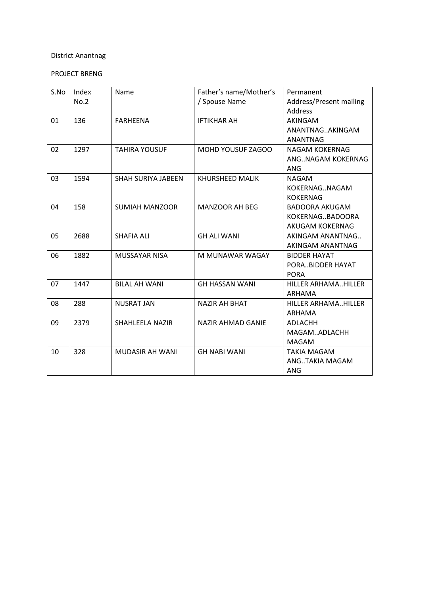### PROJECT BRENG

| S.No | Index<br>No.2 | Name                      | Father's name/Mother's<br>/ Spouse Name | Permanent<br>Address/Present mailing<br><b>Address</b>      |
|------|---------------|---------------------------|-----------------------------------------|-------------------------------------------------------------|
| 01   | 136           | <b>FARHEENA</b>           | <b>IFTIKHAR AH</b>                      | AKINGAM<br>ANANTNAGAKINGAM<br><b>ANANTNAG</b>               |
| 02   | 1297          | <b>TAHIRA YOUSUF</b>      | MOHD YOUSUF ZAGOO                       | NAGAM KOKERNAG<br>ANGNAGAM KOKERNAG<br><b>ANG</b>           |
| 03   | 1594          | <b>SHAH SURIYA JABEEN</b> | <b>KHURSHEED MALIK</b>                  | <b>NAGAM</b><br>KOKERNAGNAGAM<br><b>KOKERNAG</b>            |
| 04   | 158           | <b>SUMIAH MANZOOR</b>     | MANZOOR AH BEG                          | <b>BADOORA AKUGAM</b><br>KOKERNAGBADOORA<br>AKUGAM KOKERNAG |
| 05   | 2688          | <b>SHAFIA ALI</b>         | <b>GH ALI WANI</b>                      | AKINGAM ANANTNAG<br>AKINGAM ANANTNAG                        |
| 06   | 1882          | <b>MUSSAYAR NISA</b>      | M MUNAWAR WAGAY                         | <b>BIDDER HAYAT</b><br>PORABIDDER HAYAT<br><b>PORA</b>      |
| 07   | 1447          | <b>BILAL AH WANI</b>      | <b>GH HASSAN WANI</b>                   | HILLER ARHAMAHILLER<br>ARHAMA                               |
| 08   | 288           | <b>NUSRAT JAN</b>         | <b>NAZIR AH BHAT</b>                    | HILLER ARHAMAHILLER<br>ARHAMA                               |
| 09   | 2379          | <b>SHAHLEELA NAZIR</b>    | NAZIR AHMAD GANIE                       | <b>ADLACHH</b><br>MAGAMADLACHH<br><b>MAGAM</b>              |
| 10   | 328           | MUDASIR AH WANI           | <b>GH NABI WANI</b>                     | <b>TAKIA MAGAM</b><br>ANGTAKIA MAGAM<br><b>ANG</b>          |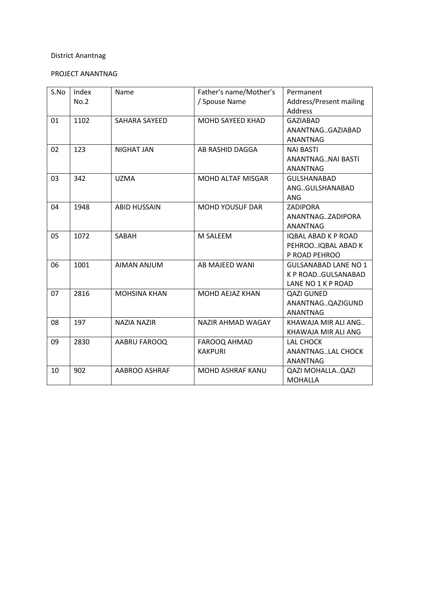# PROJECT ANANTNAG

| S.No | Index<br>No.2 | Name                | Father's name/Mother's<br>/ Spouse Name | Permanent<br>Address/Present mailing<br>Address                         |
|------|---------------|---------------------|-----------------------------------------|-------------------------------------------------------------------------|
| 01   | 1102          | SAHARA SAYEED       | MOHD SAYEED KHAD                        | <b>GAZIABAD</b><br>ANANTNAGGAZIABAD<br>ANANTNAG                         |
| 02   | 123           | <b>NIGHAT JAN</b>   | AB RASHID DAGGA                         | <b>NAI BASTI</b><br>ANANTNAGNAI BASTI<br>ANANTNAG                       |
| 03   | 342           | <b>UZMA</b>         | <b>MOHD ALTAF MISGAR</b>                | <b>GULSHANABAD</b><br>ANGGULSHANABAD<br>ANG                             |
| 04   | 1948          | <b>ABID HUSSAIN</b> | <b>MOHD YOUSUF DAR</b>                  | <b>ZADIPORA</b><br>ANANTNAGZADIPORA<br>ANANTNAG                         |
| 05   | 1072          | SABAH               | M SALEEM                                | <b>IQBAL ABAD K P ROAD</b><br>PEHROOIQBAL ABAD K<br>P ROAD PEHROO       |
| 06   | 1001          | <b>AIMAN ANJUM</b>  | AB MAJEED WANI                          | <b>GULSANABAD LANE NO 1</b><br>K P ROADGULSANABAD<br>LANE NO 1 K P ROAD |
| 07   | 2816          | <b>MOHSINA KHAN</b> | MOHD AEJAZ KHAN                         | <b>QAZI GUNED</b><br>ANANTNAGQAZIGUND<br><b>ANANTNAG</b>                |
| 08   | 197           | NAZIA NAZIR         | NAZIR AHMAD WAGAY                       | KHAWAJA MIR ALI ANG<br>KHAWAJA MIR ALI ANG                              |
| 09   | 2830          | AABRU FAROOQ        | FAROOQ AHMAD<br><b>KAKPURI</b>          | LAL CHOCK<br>ANANTNAGLAL CHOCK<br><b>ANANTNAG</b>                       |
| 10   | 902           | AABROO ASHRAF       | <b>MOHD ASHRAF KANU</b>                 | <b>QAZI MOHALLAQAZI</b><br><b>MOHALLA</b>                               |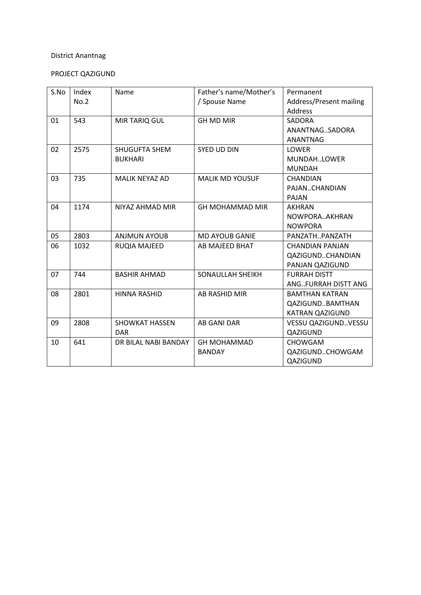# PROJECT QAZIGUND

| S.No | Index | Name                  | Father's name/Mother's  | Permanent                  |
|------|-------|-----------------------|-------------------------|----------------------------|
|      | No.2  |                       | / Spouse Name           | Address/Present mailing    |
|      |       |                       |                         | Address                    |
| 01   | 543   | MIR TARIQ GUL         | <b>GH MD MIR</b>        | SADORA                     |
|      |       |                       |                         | ANANTNAGSADORA             |
|      |       |                       |                         | <b>ANANTNAG</b>            |
| 02   | 2575  | SHUGUFTA SHEM         | <b>SYED UD DIN</b>      | <b>LOWER</b>               |
|      |       | <b>BUKHARI</b>        |                         | MUNDAHLOWER                |
|      |       |                       |                         | <b>MUNDAH</b>              |
| 03   | 735   | <b>MALIK NEYAZ AD</b> | <b>MALIK MD YOUSUF</b>  | <b>CHANDIAN</b>            |
|      |       |                       |                         | PAJANCHANDIAN              |
|      |       |                       |                         | PAJAN                      |
| 04   | 1174  | NIYAZ AHMAD MIR       | <b>GH MOHAMMAD MIR</b>  | <b>AKHRAN</b>              |
|      |       |                       |                         | NOWPORAAKHRAN              |
|      |       |                       |                         | <b>NOWPORA</b>             |
| 05   | 2803  | <b>ANJMUN AYOUB</b>   | <b>MD AYOUB GANIE</b>   | PANZATHPANZATH             |
| 06   | 1032  | <b>RUQIA MAJEED</b>   | AB MAJEED BHAT          | <b>CHANDIAN PANJAN</b>     |
|      |       |                       |                         | QAZIGUNDCHANDIAN           |
|      |       |                       |                         | PANJAN QAZIGUND            |
| 07   | 744   | <b>BASHIR AHMAD</b>   | <b>SONAULLAH SHEIKH</b> | <b>FURRAH DISTT</b>        |
|      |       |                       |                         | ANGFURRAH DISTT ANG        |
| 08   | 2801  | <b>HINNA RASHID</b>   | AB RASHID MIR           | <b>BAMTHAN KATRAN</b>      |
|      |       |                       |                         | QAZIGUNDBAMTHAN            |
|      |       |                       |                         | <b>KATRAN QAZIGUND</b>     |
| 09   | 2808  | <b>SHOWKAT HASSEN</b> | <b>AB GANI DAR</b>      | <b>VESSU QAZIGUNDVESSU</b> |
|      |       | <b>DAR</b>            |                         | QAZIGUND                   |
| 10   | 641   | DR BILAL NABI BANDAY  | <b>GH MOHAMMAD</b>      | <b>CHOWGAM</b>             |
|      |       |                       | <b>BANDAY</b>           | QAZIGUNDCHOWGAM            |
|      |       |                       |                         | QAZIGUND                   |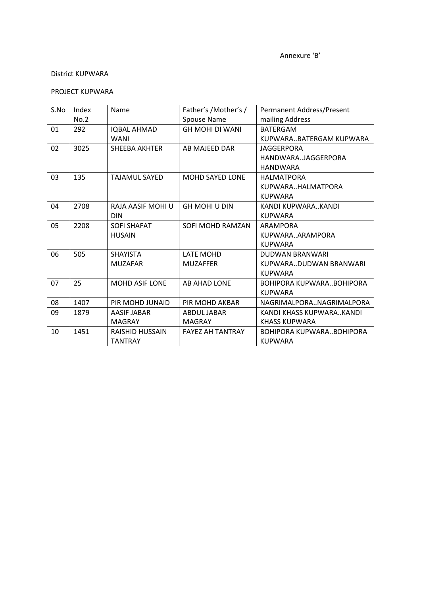#### PROJECT KUPWARA

| S.No | Index | Name                  | Father's /Mother's /    | Permanent Address/Present |
|------|-------|-----------------------|-------------------------|---------------------------|
|      | No.2  |                       | Spouse Name             | mailing Address           |
| 01   | 292   | <b>IQBAL AHMAD</b>    | GH MOHI DI WANI         | <b>BATERGAM</b>           |
|      |       | <b>WANI</b>           |                         | KUPWARABATERGAM KUPWARA   |
| 02   | 3025  | <b>SHEEBA AKHTER</b>  | AB MAJEED DAR           | <b>JAGGERPORA</b>         |
|      |       |                       |                         | HANDWARAJAGGERPORA        |
|      |       |                       |                         | <b>HANDWARA</b>           |
| 03   | 135   | <b>TAJAMUL SAYED</b>  | <b>MOHD SAYED LONE</b>  | <b>HALMATPORA</b>         |
|      |       |                       |                         | KUPWARAHALMATPORA         |
|      |       |                       |                         | <b>KUPWARA</b>            |
| 04   | 2708  | RAJA AASIF MOHI U     | <b>GH MOHI U DIN</b>    | KANDI KUPWARAKANDI        |
|      |       | <b>DIN</b>            |                         | <b>KUPWARA</b>            |
| 05   | 2208  | <b>SOFI SHAFAT</b>    | SOFI MOHD RAMZAN        | ARAMPORA                  |
|      |       | <b>HUSAIN</b>         |                         | KUPWARAARAMPORA           |
|      |       |                       |                         | <b>KUPWARA</b>            |
| 06   | 505   | <b>SHAYISTA</b>       | LATE MOHD               | <b>DUDWAN BRANWARI</b>    |
|      |       | <b>MUZAFAR</b>        | <b>MUZAFFER</b>         | KUPWARADUDWAN BRANWARI    |
|      |       |                       |                         | <b>KUPWARA</b>            |
| 07   | 25    | <b>MOHD ASIF LONE</b> | AB AHAD LONE            | BOHIPORA KUPWARABOHIPORA  |
|      |       |                       |                         | <b>KUPWARA</b>            |
| 08   | 1407  | PIR MOHD JUNAID       | PIR MOHD AKBAR          | NAGRIMALPORANAGRIMALPORA  |
| 09   | 1879  | <b>AASIF JABAR</b>    | ABDUL JABAR             | KANDI KHASS KUPWARAKANDI  |
|      |       | <b>MAGRAY</b>         | <b>MAGRAY</b>           | <b>KHASS KUPWARA</b>      |
| 10   | 1451  | RAISHID HUSSAIN       | <b>FAYEZ AH TANTRAY</b> | BOHIPORA KUPWARABOHIPORA  |
|      |       | <b>TANTRAY</b>        |                         | <b>KUPWARA</b>            |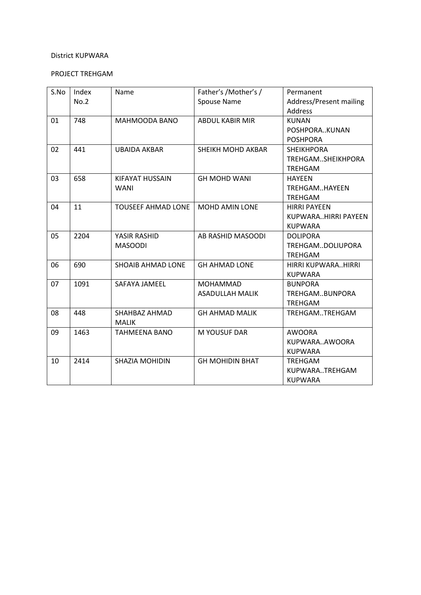# PROJECT TREHGAM

| S.No | Index<br>No.2 | Name                           | Father's /Mother's /<br>Spouse Name       | Permanent<br>Address/Present mailing<br><b>Address</b>       |
|------|---------------|--------------------------------|-------------------------------------------|--------------------------------------------------------------|
| 01   | 748           | MAHMOODA BANO                  | <b>ABDUL KABIR MIR</b>                    | <b>KUNAN</b><br>POSHPORAKUNAN<br><b>POSHPORA</b>             |
| 02   | 441           | <b>UBAIDA AKBAR</b>            | <b>SHEIKH MOHD AKBAR</b>                  | <b>SHEIKHPORA</b><br>TREHGAMSHEIKHPORA<br><b>TREHGAM</b>     |
| 03   | 658           | KIFAYAT HUSSAIN<br><b>WANI</b> | <b>GH MOHD WANI</b>                       | <b>HAYEEN</b><br>TREHGAMHAYEEN<br><b>TREHGAM</b>             |
| 04   | 11            | <b>TOUSEEF AHMAD LONE</b>      | <b>MOHD AMIN LONE</b>                     | <b>HIRRI PAYEEN</b><br>KUPWARAHIRRI PAYEEN<br><b>KUPWARA</b> |
| 05   | 2204          | YASIR RASHID<br><b>MASOODI</b> | AB RASHID MASOODI                         | <b>DOLIPORA</b><br>TREHGAMDOLIUPORA<br><b>TREHGAM</b>        |
| 06   | 690           | SHOAIB AHMAD LONE              | <b>GH AHMAD LONE</b>                      | HIRRI KUPWARAHIRRI<br><b>KUPWARA</b>                         |
| 07   | 1091          | SAFAYA JAMEEL                  | <b>MOHAMMAD</b><br><b>ASADULLAH MALIK</b> | <b>BUNPORA</b><br>TREHGAMBUNPORA<br><b>TREHGAM</b>           |
| 08   | 448           | SHAHBAZ AHMAD<br><b>MALIK</b>  | <b>GH AHMAD MALIK</b>                     | TREHGAMTREHGAM                                               |
| 09   | 1463          | <b>TAHMEENA BANO</b>           | M YOUSUF DAR                              | <b>AWOORA</b><br>KUPWARAAWOORA<br><b>KUPWARA</b>             |
| 10   | 2414          | SHAZIA MOHIDIN                 | <b>GH MOHIDIN BHAT</b>                    | <b>TREHGAM</b><br>KUPWARATREHGAM<br><b>KUPWARA</b>           |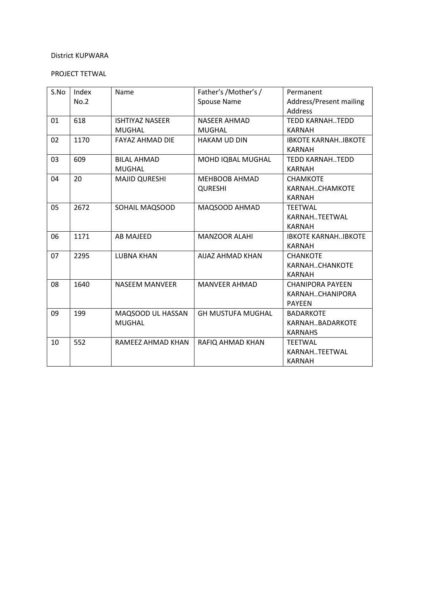# PROJECT TETWAL

| S.No | Index | Name                   | Father's /Mother's /     | Permanent                  |
|------|-------|------------------------|--------------------------|----------------------------|
|      | No.2  |                        | <b>Spouse Name</b>       | Address/Present mailing    |
|      |       |                        |                          | Address                    |
| 01   | 618   | <b>ISHTIYAZ NASEER</b> | <b>NASEER AHMAD</b>      | <b>TEDD KARNAH. TEDD</b>   |
|      |       | <b>MUGHAL</b>          | <b>MUGHAL</b>            | <b>KARNAH</b>              |
| 02   | 1170  | <b>FAYAZ AHMAD DIE</b> | <b>HAKAM UD DIN</b>      | <b>IBKOTE KARNAHIBKOTE</b> |
|      |       |                        |                          | <b>KARNAH</b>              |
| 03   | 609   | <b>BILAL AHMAD</b>     | MOHD IQBAL MUGHAL        | <b>TEDD KARNAH. TEDD</b>   |
|      |       | <b>MUGHAL</b>          |                          | <b>KARNAH</b>              |
| 04   | 20    | <b>MAJID QURESHI</b>   | <b>MEHBOOB AHMAD</b>     | <b>CHAMKOTE</b>            |
|      |       |                        | <b>QURESHI</b>           | KARNAHCHAMKOTE             |
|      |       |                        |                          | <b>KARNAH</b>              |
| 05   | 2672  | SOHAIL MAQSOOD         | MAQSOOD AHMAD            | <b>TEETWAL</b>             |
|      |       |                        |                          | KARNAHTEETWAL              |
|      |       |                        |                          | <b>KARNAH</b>              |
| 06   | 1171  | <b>AB MAJEED</b>       | <b>MANZOOR ALAHI</b>     | <b>IBKOTE KARNAHIBKOTE</b> |
|      |       |                        |                          | <b>KARNAH</b>              |
| 07   | 2295  | <b>LUBNA KHAN</b>      | <b>AIJAZ AHMAD KHAN</b>  | <b>CHANKOTE</b>            |
|      |       |                        |                          | KARNAHCHANKOTE             |
|      |       |                        |                          | <b>KARNAH</b>              |
| 08   | 1640  | <b>NASEEM MANVEER</b>  | <b>MANVEER AHMAD</b>     | <b>CHANIPORA PAYEEN</b>    |
|      |       |                        |                          | KARNAHCHANIPORA            |
|      |       |                        |                          | <b>PAYEEN</b>              |
| 09   | 199   | MAQSOOD UL HASSAN      | <b>GH MUSTUFA MUGHAL</b> | <b>BADARKOTE</b>           |
|      |       | <b>MUGHAL</b>          |                          | KARNAHBADARKOTE            |
|      |       |                        |                          | <b>KARNAHS</b>             |
| 10   | 552   | RAMEEZ AHMAD KHAN      | RAFIQ AHMAD KHAN         | <b>TEETWAL</b>             |
|      |       |                        |                          | KARNAHTEETWAL              |
|      |       |                        |                          | <b>KARNAH</b>              |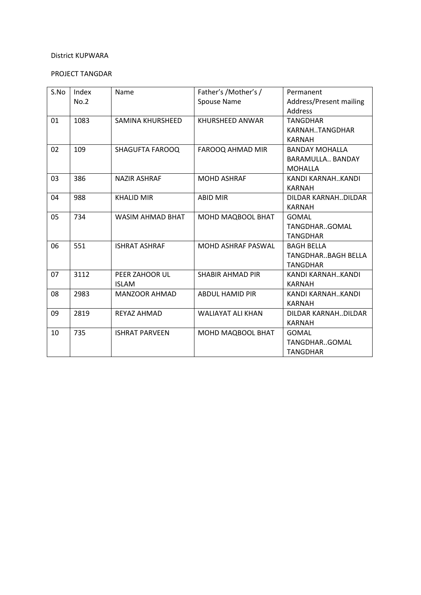# PROJECT TANGDAR

| S.No | Index | Name                    | Father's /Mother's /      | Permanent                 |
|------|-------|-------------------------|---------------------------|---------------------------|
|      | No.2  |                         | Spouse Name               | Address/Present mailing   |
|      |       |                         |                           | Address                   |
| 01   | 1083  | SAMINA KHURSHEED        | KHURSHEED ANWAR           | <b>TANGDHAR</b>           |
|      |       |                         |                           | KARNAHTANGDHAR            |
|      |       |                         |                           | <b>KARNAH</b>             |
| 02   | 109   | <b>SHAGUFTA FAROOQ</b>  | FAROOQ AHMAD MIR          | <b>BANDAY MOHALLA</b>     |
|      |       |                         |                           | BARAMULLA BANDAY          |
|      |       |                         |                           | <b>MOHALLA</b>            |
| 03   | 386   | <b>NAZIR ASHRAF</b>     | <b>MOHD ASHRAF</b>        | KANDI KARNAHKANDI         |
|      |       |                         |                           | <b>KARNAH</b>             |
| 04   | 988   | <b>KHALID MIR</b>       | <b>ABID MIR</b>           | DILDAR KARNAHDILDAR       |
|      |       |                         |                           | <b>KARNAH</b>             |
| 05   | 734   | <b>WASIM AHMAD BHAT</b> | MOHD MAQBOOL BHAT         | <b>GOMAL</b>              |
|      |       |                         |                           | TANGDHARGOMAL             |
|      |       |                         |                           | <b>TANGDHAR</b>           |
| 06   | 551   | <b>ISHRAT ASHRAF</b>    | <b>MOHD ASHRAF PASWAL</b> | <b>BAGH BELLA</b>         |
|      |       |                         |                           | <b>TANGDHARBAGH BELLA</b> |
|      |       |                         |                           | <b>TANGDHAR</b>           |
| 07   | 3112  | PEER ZAHOOR UL          | <b>SHABIR AHMAD PIR</b>   | KANDI KARNAHKANDI         |
|      |       | <b>ISLAM</b>            |                           | KARNAH                    |
| 08   | 2983  | MANZOOR AHMAD           | <b>ABDUL HAMID PIR</b>    | KANDI KARNAHKANDI         |
|      |       |                         |                           | <b>KARNAH</b>             |
| 09   | 2819  | REYAZ AHMAD             | <b>WALIAYAT ALI KHAN</b>  | DILDAR KARNAHDILDAR       |
|      |       |                         |                           | <b>KARNAH</b>             |
| 10   | 735   | <b>ISHRAT PARVEEN</b>   | MOHD MAQBOOL BHAT         | <b>GOMAL</b>              |
|      |       |                         |                           | TANGDHARGOMAL             |
|      |       |                         |                           | <b>TANGDHAR</b>           |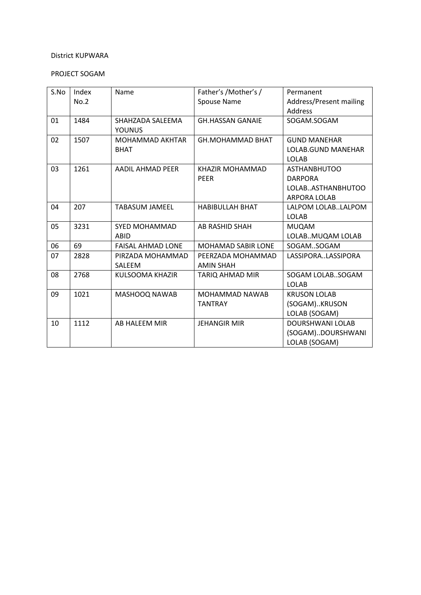# PROJECT SOGAM

| S.No | Index<br>No.2 | Name                                  | Father's / Mother's /<br><b>Spouse Name</b> | Permanent<br>Address/Present mailing<br>Address                                   |
|------|---------------|---------------------------------------|---------------------------------------------|-----------------------------------------------------------------------------------|
| 01   | 1484          | SHAHZADA SALEEMA<br><b>YOUNUS</b>     | <b>GH.HASSAN GANAIE</b>                     | SOGAM.SOGAM                                                                       |
| 02   | 1507          | <b>MOHAMMAD AKHTAR</b><br><b>BHAT</b> | <b>GH.MOHAMMAD BHAT</b>                     | <b>GUND MANEHAR</b><br>LOLAB.GUND MANEHAR<br><b>LOLAB</b>                         |
| 03   | 1261          | AADIL AHMAD PEER                      | KHAZIR MOHAMMAD<br><b>PEER</b>              | <b>ASTHANBHUTOO</b><br><b>DARPORA</b><br>LOLABASTHANBHUTOO<br><b>ARPORA LOLAB</b> |
| 04   | 207           | <b>TABASUM JAMEEL</b>                 | <b>HABIBULLAH BHAT</b>                      | LALPOM LOLABLALPOM<br><b>LOLAB</b>                                                |
| 05   | 3231          | SYED MOHAMMAD<br>ABID                 | AB RASHID SHAH                              | <b>MUQAM</b><br>LOLABMUQAM LOLAB                                                  |
| 06   | 69            | <b>FAISAL AHMAD LONE</b>              | <b>MOHAMAD SABIR LONE</b>                   | SOGAMSOGAM                                                                        |
| 07   | 2828          | PIRZADA MOHAMMAD<br><b>SALEEM</b>     | PEERZADA MOHAMMAD<br><b>AMIN SHAH</b>       | LASSIPORALASSIPORA                                                                |
| 08   | 2768          | KULSOOMA KHAZIR                       | TARIQ AHMAD MIR                             | SOGAM LOLABSOGAM<br><b>LOLAB</b>                                                  |
| 09   | 1021          | MASHOOQ NAWAB                         | <b>MOHAMMAD NAWAB</b><br><b>TANTRAY</b>     | <b>KRUSON LOLAB</b><br>(SOGAM)KRUSON<br>LOLAB (SOGAM)                             |
| 10   | 1112          | AB HALEEM MIR                         | <b>JEHANGIR MIR</b>                         | <b>DOURSHWANI LOLAB</b><br>(SOGAM)DOURSHWANI<br>LOLAB (SOGAM)                     |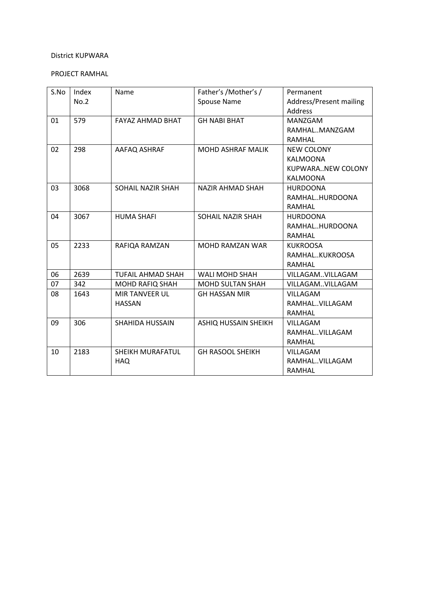### PROJECT RAMHAL

| S.No | Index | Name                     | Father's /Mother's /     | Permanent               |
|------|-------|--------------------------|--------------------------|-------------------------|
|      | No.2  |                          | Spouse Name              | Address/Present mailing |
|      |       |                          |                          | Address                 |
| 01   | 579   | FAYAZ AHMAD BHAT         | <b>GH NABI BHAT</b>      | MANZGAM                 |
|      |       |                          |                          | RAMHALMANZGAM           |
|      |       |                          |                          | RAMHAL                  |
| 02   | 298   | AAFAQ ASHRAF             | <b>MOHD ASHRAF MALIK</b> | <b>NEW COLONY</b>       |
|      |       |                          |                          | <b>KALMOONA</b>         |
|      |       |                          |                          | KUPWARANEW COLONY       |
|      |       |                          |                          | <b>KALMOONA</b>         |
| 03   | 3068  | SOHAIL NAZIR SHAH        | <b>NAZIR AHMAD SHAH</b>  | <b>HURDOONA</b>         |
|      |       |                          |                          | RAMHALHURDOONA          |
|      |       |                          |                          | RAMHAL                  |
| 04   | 3067  | <b>HUMA SHAFI</b>        | SOHAIL NAZIR SHAH        | <b>HURDOONA</b>         |
|      |       |                          |                          | RAMHALHURDOONA          |
|      |       |                          |                          | RAMHAL                  |
| 05   | 2233  | RAFIQA RAMZAN            | <b>MOHD RAMZAN WAR</b>   | <b>KUKROOSA</b>         |
|      |       |                          |                          | RAMHALKUKROOSA          |
|      |       |                          |                          | RAMHAL                  |
| 06   | 2639  | <b>TUFAIL AHMAD SHAH</b> | <b>WALI MOHD SHAH</b>    | VILLAGAMVILLAGAM        |
| 07   | 342   | <b>MOHD RAFIQ SHAH</b>   | <b>MOHD SULTAN SHAH</b>  | VILLAGAMVILLAGAM        |
| 08   | 1643  | <b>MIR TANVEER UL</b>    | <b>GH HASSAN MIR</b>     | <b>VILLAGAM</b>         |
|      |       | <b>HASSAN</b>            |                          | RAMHAL. VILLAGAM        |
|      |       |                          |                          | RAMHAL                  |
| 09   | 306   | <b>SHAHIDA HUSSAIN</b>   | ASHIQ HUSSAIN SHEIKH     | VILLAGAM                |
|      |       |                          |                          | RAMHALVILLAGAM          |
|      |       |                          |                          | RAMHAL                  |
| 10   | 2183  | SHEIKH MURAFATUL         | <b>GH RASOOL SHEIKH</b>  | VILLAGAM                |
|      |       | <b>HAQ</b>               |                          | RAMHALVILLAGAM          |
|      |       |                          |                          | RAMHAL                  |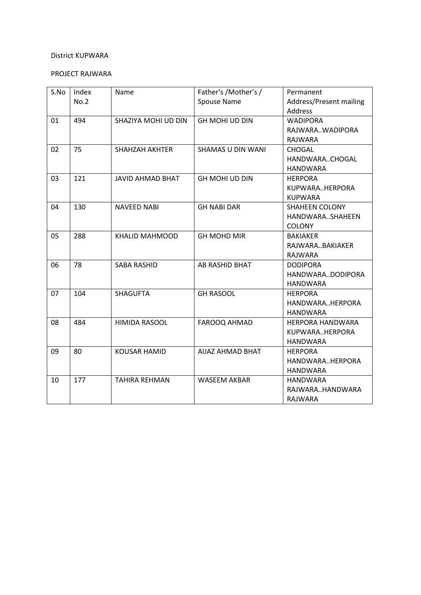# PROJECT RAJWARA

| S.No | Index | Name                    | Father's /Mother's /     | Permanent               |
|------|-------|-------------------------|--------------------------|-------------------------|
|      | No.2  |                         | Spouse Name              | Address/Present mailing |
|      |       |                         |                          | <b>Address</b>          |
| 01   | 494   | SHAZIYA MOHI UD DIN     | <b>GH MOHI UD DIN</b>    | <b>WADIPORA</b>         |
|      |       |                         |                          | RAJWARAWADIPORA         |
|      |       |                         |                          | <b>RAJWARA</b>          |
| 02   | 75    | <b>SHAHZAH AKHTER</b>   | <b>SHAMAS U DIN WANI</b> | <b>CHOGAL</b>           |
|      |       |                         |                          | HANDWARACHOGAL          |
|      |       |                         |                          | <b>HANDWARA</b>         |
| 03   | 121   | <b>JAVID AHMAD BHAT</b> | <b>GH MOHI UD DIN</b>    | <b>HERPORA</b>          |
|      |       |                         |                          | KUPWARAHERPORA          |
|      |       |                         |                          | <b>KUPWARA</b>          |
| 04   | 130   | <b>NAVEED NABI</b>      | <b>GH NABI DAR</b>       | <b>SHAHEEN COLONY</b>   |
|      |       |                         |                          | HANDWARASHAHEEN         |
|      |       |                         |                          | <b>COLONY</b>           |
| 05   | 288   | <b>KHALID MAHMOOD</b>   | <b>GH MOHD MIR</b>       | <b>BAKIAKER</b>         |
|      |       |                         |                          | RAJWARABAKIAKER         |
|      |       |                         |                          | RAJWARA                 |
| 06   | 78    | <b>SABA RASHID</b>      | AB RASHID BHAT           | <b>DODIPORA</b>         |
|      |       |                         |                          | HANDWARADODIPORA        |
|      |       |                         |                          | <b>HANDWARA</b>         |
| 07   | 104   | <b>SHAGUFTA</b>         | <b>GH RASOOL</b>         | <b>HERPORA</b>          |
|      |       |                         |                          | HANDWARAHERPORA         |
|      |       |                         |                          | <b>HANDWARA</b>         |
| 08   | 484   | <b>HIMIDA RASOOL</b>    | <b>FAROOQ AHMAD</b>      | <b>HERPORA HANDWARA</b> |
|      |       |                         |                          | KUPWARAHERPORA          |
|      |       |                         |                          | <b>HANDWARA</b>         |
| 09   | 80    | <b>KOUSAR HAMID</b>     | AIJAZ AHMAD BHAT         | <b>HERPORA</b>          |
|      |       |                         |                          | HANDWARAHERPORA         |
|      |       |                         |                          | <b>HANDWARA</b>         |
| 10   | 177   | <b>TAHIRA REHMAN</b>    | <b>WASEEM AKBAR</b>      | <b>HANDWARA</b>         |
|      |       |                         |                          | RAJWARAHANDWARA         |
|      |       |                         |                          | <b>RAJWARA</b>          |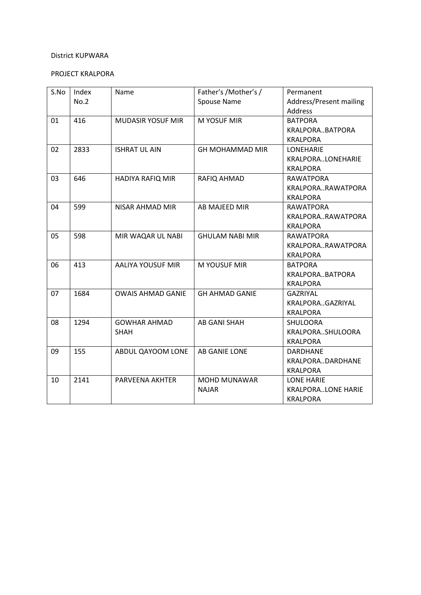# PROJECT KRALPORA

| S.No | Index | Name                     | Father's /Mother's /   | Permanent                 |
|------|-------|--------------------------|------------------------|---------------------------|
|      | No.2  |                          | Spouse Name            | Address/Present mailing   |
|      |       |                          |                        | <b>Address</b>            |
| 01   | 416   | <b>MUDASIR YOSUF MIR</b> | M YOSUF MIR            | <b>BATPORA</b>            |
|      |       |                          |                        | KRALPORABATPORA           |
|      |       |                          |                        | <b>KRALPORA</b>           |
| 02   | 2833  | <b>ISHRAT UL AIN</b>     | <b>GH MOHAMMAD MIR</b> | <b>LONEHARIE</b>          |
|      |       |                          |                        | KRALPORALONEHARIE         |
|      |       |                          |                        | <b>KRALPORA</b>           |
| 03   | 646   | HADIYA RAFIQ MIR         | RAFIQ AHMAD            | RAWATPORA                 |
|      |       |                          |                        | KRALPORARAWATPORA         |
|      |       |                          |                        | <b>KRALPORA</b>           |
| 04   | 599   | <b>NISAR AHMAD MIR</b>   | AB MAJEED MIR          | <b>RAWATPORA</b>          |
|      |       |                          |                        | KRALPORARAWATPORA         |
|      |       |                          |                        | <b>KRALPORA</b>           |
| 05   | 598   | MIR WAQAR UL NABI        | <b>GHULAM NABI MIR</b> | <b>RAWATPORA</b>          |
|      |       |                          |                        | KRALPORARAWATPORA         |
|      |       |                          |                        | <b>KRALPORA</b>           |
| 06   | 413   | AALIYA YOUSUF MIR        | M YOUSUF MIR           | <b>BATPORA</b>            |
|      |       |                          |                        | KRALPORABATPORA           |
|      |       |                          |                        | <b>KRALPORA</b>           |
| 07   | 1684  | <b>OWAIS AHMAD GANIE</b> | <b>GH AHMAD GANIE</b>  | <b>GAZRIYAL</b>           |
|      |       |                          |                        | KRALPORAGAZRIYAL          |
|      |       |                          |                        | <b>KRALPORA</b>           |
| 08   | 1294  | <b>GOWHAR AHMAD</b>      | AB GANI SHAH           | <b>SHULOORA</b>           |
|      |       | <b>SHAH</b>              |                        | KRALPORASHULOORA          |
|      |       |                          |                        | <b>KRALPORA</b>           |
| 09   | 155   | ABDUL QAYOOM LONE        | AB GANIE LONE          | <b>DARDHANE</b>           |
|      |       |                          |                        | KRALPORADARDHANE          |
|      |       |                          |                        | <b>KRALPORA</b>           |
| 10   | 2141  | PARVEENA AKHTER          | <b>MOHD MUNAWAR</b>    | <b>LONE HARIE</b>         |
|      |       |                          | <b>NAJAR</b>           | <b>KRALPORALONE HARIE</b> |
|      |       |                          |                        | <b>KRALPORA</b>           |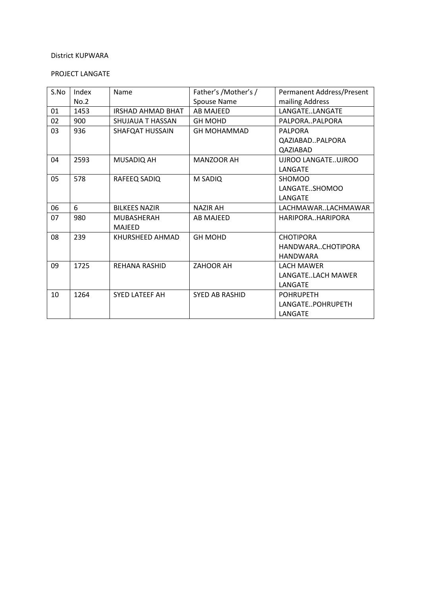# PROJECT LANGATE

| S.No | Index | Name                     | Father's /Mother's /  | Permanent Address/Present |
|------|-------|--------------------------|-----------------------|---------------------------|
|      | No.2  |                          | Spouse Name           | mailing Address           |
| 01   | 1453  | <b>IRSHAD AHMAD BHAT</b> | <b>AB MAJEED</b>      | LANGATELANGATE            |
| 02   | 900   | SHUJAUA T HASSAN         | <b>GH MOHD</b>        | PALPORAPALPORA            |
| 03   | 936   | <b>SHAFQAT HUSSAIN</b>   | <b>GH MOHAMMAD</b>    | <b>PALPORA</b>            |
|      |       |                          |                       | QAZIABADPALPORA           |
|      |       |                          |                       | QAZIABAD                  |
| 04   | 2593  | MUSADIQ AH               | <b>MANZOOR AH</b>     | UJROO LANGATEUJROO        |
|      |       |                          |                       | LANGATE                   |
| 05   | 578   | RAFEEQ SADIQ             | M SADIQ               | <b>SHOMOO</b>             |
|      |       |                          |                       | LANGATESHOMOO             |
|      |       |                          |                       | LANGATE                   |
| 06   | 6     | <b>BILKEES NAZIR</b>     | <b>NAZIR AH</b>       | LACHMAWARLACHMAWAR        |
| 07   | 980   | <b>MUBASHERAH</b>        | AB MAJEED             | HARIPORAHARIPORA          |
|      |       | <b>MAJEED</b>            |                       |                           |
| 08   | 239   | KHURSHEED AHMAD          | <b>GH MOHD</b>        | <b>CHOTIPORA</b>          |
|      |       |                          |                       | HANDWARACHOTIPORA         |
|      |       |                          |                       | <b>HANDWARA</b>           |
| 09   | 1725  | <b>REHANA RASHID</b>     | ZAHOOR AH             | <b>LACH MAWER</b>         |
|      |       |                          |                       | LANGATELACH MAWER         |
|      |       |                          |                       | LANGATE                   |
| 10   | 1264  | SYED LATEEF AH           | <b>SYED AB RASHID</b> | <b>POHRUPETH</b>          |
|      |       |                          |                       | LANGATEPOHRUPETH          |
|      |       |                          |                       | LANGATE                   |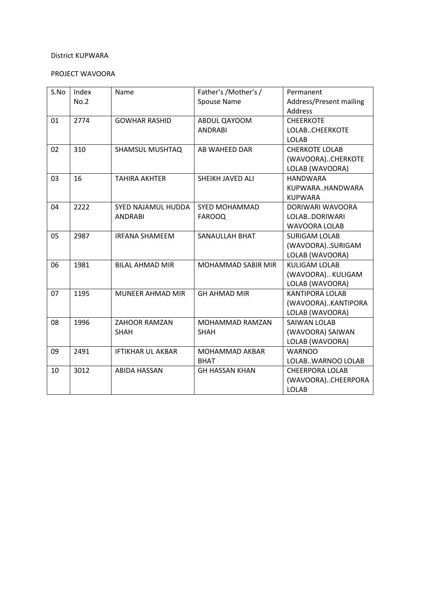# PROJECT WAVOORA

| S.No | Index | Name                     | Father's /Mother's /   | Permanent                      |
|------|-------|--------------------------|------------------------|--------------------------------|
|      | No.2  |                          | <b>Spouse Name</b>     | <b>Address/Present mailing</b> |
|      |       |                          |                        | <b>Address</b>                 |
| 01   | 2774  | <b>GOWHAR RASHID</b>     | ABDUL QAYOOM           | <b>CHEERKOTE</b>               |
|      |       |                          | <b>ANDRABI</b>         | LOLABCHEERKOTE                 |
|      |       |                          |                        | <b>LOLAB</b>                   |
| 02   | 310   | <b>SHAMSUL MUSHTAQ</b>   | AB WAHEED DAR          | <b>CHERKOTE LOLAB</b>          |
|      |       |                          |                        | (WAVOORA)CHERKOTE              |
|      |       |                          |                        | LOLAB (WAVOORA)                |
| 03   | 16    | <b>TAHIRA AKHTER</b>     | SHEIKH JAVED ALI       | <b>HANDWARA</b>                |
|      |       |                          |                        | KUPWARAHANDWARA                |
|      |       |                          |                        | <b>KUPWARA</b>                 |
| 04   | 2222  | SYED NAJAMUL HUDDA       | <b>SYED MOHAMMAD</b>   | DORIWARI WAVOORA               |
|      |       | <b>ANDRABI</b>           | <b>FAROOQ</b>          | LOLABDORIWARI                  |
|      |       |                          |                        | <b>WAVOORA LOLAB</b>           |
| 05   | 2987  | <b>IRFANA SHAMEEM</b>    | SANAULLAH BHAT         | <b>SURIGAM LOLAB</b>           |
|      |       |                          |                        | (WAVOORA)SURIGAM               |
|      |       |                          |                        | LOLAB (WAVOORA)                |
| 06   | 1981  | <b>BILAL AHMAD MIR</b>   | MOHAMMAD SABIR MIR     | <b>KULIGAM LOLAB</b>           |
|      |       |                          |                        | (WAVOORA) KULIGAM              |
|      |       |                          |                        | LOLAB (WAVOORA)                |
| 07   | 1195  | MUNEER AHMAD MIR         | <b>GH AHMAD MIR</b>    | <b>KANTIPORA LOLAB</b>         |
|      |       |                          |                        | (WAVOORA)KANTIPORA             |
|      |       |                          |                        | LOLAB (WAVOORA)                |
| 08   | 1996  | ZAHOOR RAMZAN            | <b>MOHAMMAD RAMZAN</b> | <b>SAIWAN LOLAB</b>            |
|      |       | <b>SHAH</b>              | <b>SHAH</b>            | (WAVOORA) SAIWAN               |
|      |       |                          |                        | LOLAB (WAVOORA)                |
| 09   | 2491  | <b>IFTIKHAR UL AKBAR</b> | MOHAMMAD AKBAR         | <b>WARNOO</b>                  |
|      |       |                          | <b>BHAT</b>            | LOLABWARNOO LOLAB              |
| 10   | 3012  | <b>ABIDA HASSAN</b>      | <b>GH HASSAN KHAN</b>  | <b>CHEERPORA LOLAB</b>         |
|      |       |                          |                        | (WAVOORA)CHEERPORA             |
|      |       |                          |                        | <b>LOLAB</b>                   |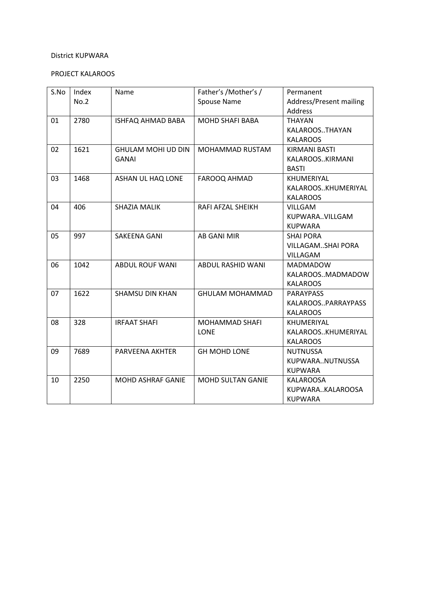# PROJECT KALAROOS

| S.No | Index<br>No.2 | Name                                      | Father's /Mother's /<br>Spouse Name  | Permanent<br>Address/Present mailing<br>Address                 |
|------|---------------|-------------------------------------------|--------------------------------------|-----------------------------------------------------------------|
| 01   | 2780          | <b>ISHFAQ AHMAD BABA</b>                  | <b>MOHD SHAFI BABA</b>               | <b>THAYAN</b><br>KALAROOSTHAYAN<br><b>KALAROOS</b>              |
| 02   | 1621          | <b>GHULAM MOHI UD DIN</b><br><b>GANAI</b> | MOHAMMAD RUSTAM                      | <b>KIRMANI BASTI</b><br>KALAROOSKIRMANI<br><b>BASTI</b>         |
| 03   | 1468          | <b>ASHAN UL HAQ LONE</b>                  | <b>FAROOQ AHMAD</b>                  | KHUMERIYAL<br>KALAROOSKHUMERIYAL<br><b>KALAROOS</b>             |
| 04   | 406           | SHAZIA MALIK                              | RAFI AFZAL SHEIKH                    | <b>VILLGAM</b><br>KUPWARAVILLGAM<br><b>KUPWARA</b>              |
| 05   | 997           | SAKEENA GANI                              | <b>AB GANI MIR</b>                   | <b>SHAI PORA</b><br><b>VILLAGAMSHAI PORA</b><br><b>VILLAGAM</b> |
| 06   | 1042          | <b>ABDUL ROUF WANI</b>                    | ABDUL RASHID WANI                    | <b>MADMADOW</b><br>KALAROOSMADMADOW<br><b>KALAROOS</b>          |
| 07   | 1622          | <b>SHAMSU DIN KHAN</b>                    | <b>GHULAM MOHAMMAD</b>               | <b>PARAYPASS</b><br>KALAROOSPARRAYPASS<br><b>KALAROOS</b>       |
| 08   | 328           | <b>IRFAAT SHAFI</b>                       | <b>MOHAMMAD SHAFI</b><br><b>LONE</b> | KHUMERIYAL<br>KALAROOSKHUMERIYAL<br><b>KALAROOS</b>             |
| 09   | 7689          | PARVEENA AKHTER                           | <b>GH MOHD LONE</b>                  | <b>NUTNUSSA</b><br>KUPWARANUTNUSSA<br><b>KUPWARA</b>            |
| 10   | 2250          | <b>MOHD ASHRAF GANIE</b>                  | <b>MOHD SULTAN GANIE</b>             | KALAROOSA<br>KUPWARAKALAROOSA<br><b>KUPWARA</b>                 |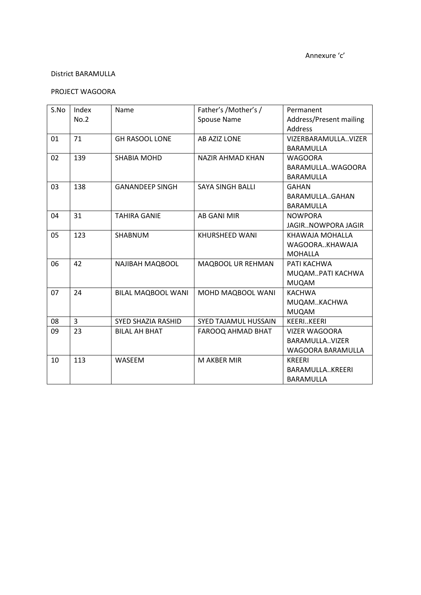### PROJECT WAGOORA

| S.No | Index | Name                      | Father's /Mother's /        | Permanent                      |
|------|-------|---------------------------|-----------------------------|--------------------------------|
|      | No.2  |                           | Spouse Name                 | <b>Address/Present mailing</b> |
|      |       |                           |                             | Address                        |
| 01   | 71    | <b>GH RASOOL LONE</b>     | AB AZIZ LONE                | VIZERBARAMULLAVIZER            |
|      |       |                           |                             | <b>BARAMULLA</b>               |
| 02   | 139   | <b>SHABIA MOHD</b>        | <b>NAZIR AHMAD KHAN</b>     | <b>WAGOORA</b>                 |
|      |       |                           |                             | BARAMULLAWAGOORA               |
|      |       |                           |                             | <b>BARAMULLA</b>               |
| 03   | 138   | <b>GANANDEEP SINGH</b>    | <b>SAYA SINGH BALLI</b>     | <b>GAHAN</b>                   |
|      |       |                           |                             | BARAMULLAGAHAN                 |
|      |       |                           |                             | BARAMULLA                      |
| 04   | 31    | <b>TAHIRA GANIE</b>       | <b>AB GANI MIR</b>          | <b>NOWPORA</b>                 |
|      |       |                           |                             | JAGIRNOWPORA JAGIR             |
| 05   | 123   | SHABNUM                   | KHURSHEED WANI              | KHAWAJA MOHALLA                |
|      |       |                           |                             | WAGOORAKHAWAJA                 |
|      |       |                           |                             | <b>MOHALLA</b>                 |
| 06   | 42    | NAJIBAH MAQBOOL           | MAQBOOL UR REHMAN           | PATI KACHWA                    |
|      |       |                           |                             | MUQAMPATI KACHWA               |
|      |       |                           |                             | <b>MUQAM</b>                   |
| 07   | 24    | <b>BILAL MAQBOOL WANI</b> | MOHD MAQBOOL WANI           | <b>KACHWA</b>                  |
|      |       |                           |                             | MUQAMKACHWA                    |
|      |       |                           |                             | <b>MUQAM</b>                   |
| 08   | 3     | <b>SYED SHAZIA RASHID</b> | <b>SYED TAJAMUL HUSSAIN</b> | <b>KEERIKEERI</b>              |
| 09   | 23    | <b>BILAL AH BHAT</b>      | FAROOQ AHMAD BHAT           | <b>VIZER WAGOORA</b>           |
|      |       |                           |                             | BARAMULLAVIZER                 |
|      |       |                           |                             | WAGOORA BARAMULLA              |
| 10   | 113   | WASEEM                    | M AKBER MIR                 | <b>KREERI</b>                  |
|      |       |                           |                             | BARAMULLAKREERI                |
|      |       |                           |                             | <b>BARAMULLA</b>               |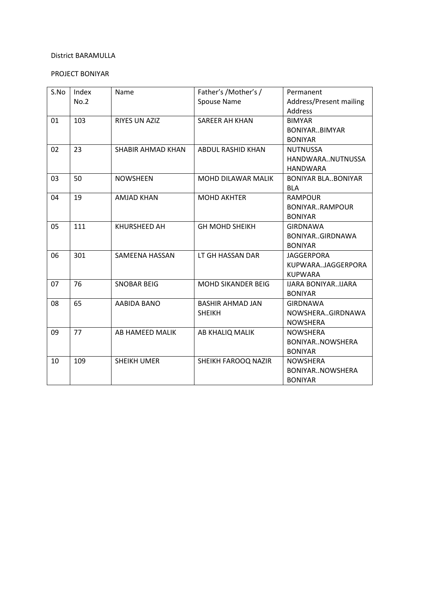# PROJECT BONIYAR

| S.No | Index | Name                     | Father's /Mother's /      | Permanent                   |
|------|-------|--------------------------|---------------------------|-----------------------------|
|      | No.2  |                          | Spouse Name               | Address/Present mailing     |
|      |       |                          |                           | Address                     |
| 01   | 103   | RIYES UN AZIZ            | <b>SAREER AH KHAN</b>     | <b>BIMYAR</b>               |
|      |       |                          |                           | BONIYARBIMYAR               |
|      |       |                          |                           | <b>BONIYAR</b>              |
| 02   | 23    | <b>SHABIR AHMAD KHAN</b> | ABDUL RASHID KHAN         | <b>NUTNUSSA</b>             |
|      |       |                          |                           | HANDWARANUTNUSSA            |
|      |       |                          |                           | <b>HANDWARA</b>             |
| 03   | 50    | <b>NOWSHEEN</b>          | MOHD DILAWAR MALIK        | <b>BONIYAR BLABONIYAR</b>   |
|      |       |                          |                           | <b>BLA</b>                  |
| 04   | 19    | <b>AMJAD KHAN</b>        | <b>MOHD AKHTER</b>        | <b>RAMPOUR</b>              |
|      |       |                          |                           | BONIYARRAMPOUR              |
|      |       |                          |                           | <b>BONIYAR</b>              |
| 05   | 111   | KHURSHEED AH             | <b>GH MOHD SHEIKH</b>     | <b>GIRDNAWA</b>             |
|      |       |                          |                           | BONIYARGIRDNAWA             |
|      |       |                          |                           | <b>BONIYAR</b>              |
| 06   | 301   | <b>SAMEENA HASSAN</b>    | LT GH HASSAN DAR          | <b>JAGGERPORA</b>           |
|      |       |                          |                           | KUPWARAJAGGERPORA           |
|      |       |                          |                           | <b>KUPWARA</b>              |
| 07   | 76    | <b>SNOBAR BEIG</b>       | <b>MOHD SIKANDER BEIG</b> | <b>IJARA BONIYAR. IJARA</b> |
|      |       |                          |                           | <b>BONIYAR</b>              |
| 08   | 65    | AABIDA BANO              | <b>BASHIR AHMAD JAN</b>   | <b>GIRDNAWA</b>             |
|      |       |                          | <b>SHEIKH</b>             | NOWSHERAGIRDNAWA            |
|      |       |                          |                           | <b>NOWSHERA</b>             |
| 09   | 77    | AB HAMEED MALIK          | AB KHALIQ MALIK           | <b>NOWSHERA</b>             |
|      |       |                          |                           | BONIYARNOWSHERA             |
|      |       |                          |                           | <b>BONIYAR</b>              |
| 10   | 109   | <b>SHEIKH UMER</b>       | SHEIKH FAROOQ NAZIR       | <b>NOWSHERA</b>             |
|      |       |                          |                           | BONIYARNOWSHERA             |
|      |       |                          |                           | <b>BONIYAR</b>              |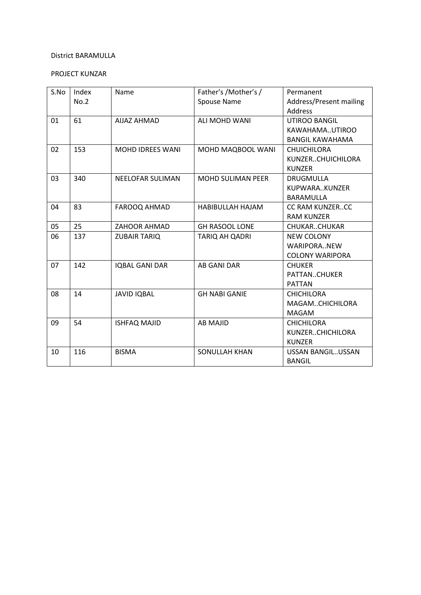# PROJECT KUNZAR

| S.No | Index | Name                    | Father's /Mother's /     | Permanent               |
|------|-------|-------------------------|--------------------------|-------------------------|
|      | No.2  |                         | Spouse Name              | Address/Present mailing |
|      |       |                         |                          | Address                 |
| 01   | 61    | <b>AIJAZ AHMAD</b>      | ALI MOHD WANI            | <b>UTIROO BANGIL</b>    |
|      |       |                         |                          | KAWAHAMAUTIROO          |
|      |       |                         |                          | <b>BANGIL KAWAHAMA</b>  |
| 02   | 153   | <b>MOHD IDREES WANI</b> | MOHD MAQBOOL WANI        | <b>CHUICHILORA</b>      |
|      |       |                         |                          | KUNZERCHUICHILORA       |
|      |       |                         |                          | <b>KUNZER</b>           |
| 03   | 340   | <b>NEELOFAR SULIMAN</b> | <b>MOHD SULIMAN PEER</b> | <b>DRUGMULLA</b>        |
|      |       |                         |                          | KUPWARAKUNZER           |
|      |       |                         |                          | <b>BARAMULLA</b>        |
| 04   | 83    | <b>FAROOQ AHMAD</b>     | <b>HABIBULLAH HAJAM</b>  | CC RAM KUNZERCC         |
|      |       |                         |                          | <b>RAM KUNZER</b>       |
| 05   | 25    | <b>ZAHOOR AHMAD</b>     | <b>GH RASOOL LONE</b>    | CHUKARCHUKAR            |
| 06   | 137   | <b>ZUBAIR TARIQ</b>     | TARIQ AH QADRI           | <b>NEW COLONY</b>       |
|      |       |                         |                          | WARIPORANEW             |
|      |       |                         |                          | <b>COLONY WARIPORA</b>  |
| 07   | 142   | <b>IQBAL GANI DAR</b>   | <b>AB GANI DAR</b>       | <b>CHUKER</b>           |
|      |       |                         |                          | PATTANCHUKER            |
|      |       |                         |                          | <b>PATTAN</b>           |
| 08   | 14    | <b>JAVID IQBAL</b>      | <b>GH NABI GANIE</b>     | <b>CHICHILORA</b>       |
|      |       |                         |                          | MAGAMCHICHILORA         |
|      |       |                         |                          | <b>MAGAM</b>            |
| 09   | 54    | <b>ISHFAQ MAJID</b>     | <b>AB MAJID</b>          | <b>CHICHILORA</b>       |
|      |       |                         |                          | KUNZERCHICHILORA        |
|      |       |                         |                          | <b>KUNZER</b>           |
| 10   | 116   | <b>BISMA</b>            | <b>SONULLAH KHAN</b>     | USSAN BANGILUSSAN       |
|      |       |                         |                          | <b>BANGIL</b>           |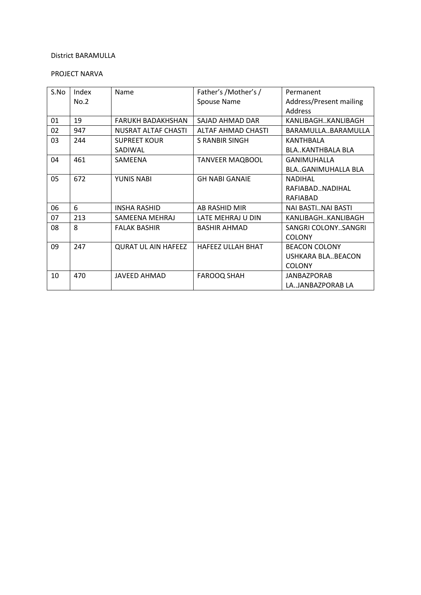# PROJECT NARVA

| S.No | Index<br>No.2 | Name                           | Father's /Mother's /<br>Spouse Name | Permanent<br>Address/Present mailing<br><b>Address</b>     |
|------|---------------|--------------------------------|-------------------------------------|------------------------------------------------------------|
| 01   | 19            | FARUKH BADAKHSHAN              | SAJAD AHMAD DAR                     | KANLIBAGHKANLIBAGH                                         |
| 02   | 947           | <b>NUSRAT ALTAF CHASTI</b>     | ALTAF AHMAD CHASTI                  | BARAMULLABARAMULLA                                         |
| 03   | 244           | <b>SUPREET KOUR</b><br>SADIWAL | S RANBIR SINGH                      | KANTHRALA<br><b>BLA., KANTHBALA BLA</b>                    |
| 04   | 461           | SAMEENA                        | <b>TANVEER MAQBOOL</b>              | <b>GANIMUHALLA</b><br><b>BLAGANIMUHALLA BLA</b>            |
| 05   | 672           | YUNIS NABI                     | <b>GH NABI GANAIE</b>               | <b>NADIHAL</b><br>RAFIARAD. NADIHAL<br>RAFIABAD            |
| 06   | 6             | <b>INSHA RASHID</b>            | AB RASHID MIR                       | NAI BASTINAI BASTI                                         |
| 07   | 213           | SAMFFNA MFHRAJ                 | LATE MEHRAJ U DIN                   | KANLIBAGHKANLIBAGH                                         |
| 08   | 8             | <b>FALAK BASHIR</b>            | <b>BASHIR AHMAD</b>                 | SANGRI COLONYSANGRI<br><b>COLONY</b>                       |
| 09   | 247           | <b>QURAT UL AIN HAFEEZ</b>     | <b>HAFEEZ ULLAH BHAT</b>            | <b>BEACON COLONY</b><br>USHKARA BLABEACON<br><b>COLONY</b> |
| 10   | 470           | JAVEED AHMAD                   | <b>FAROOQ SHAH</b>                  | <b>JANBAZPORAB</b><br>LAJANBAZPORAB LA                     |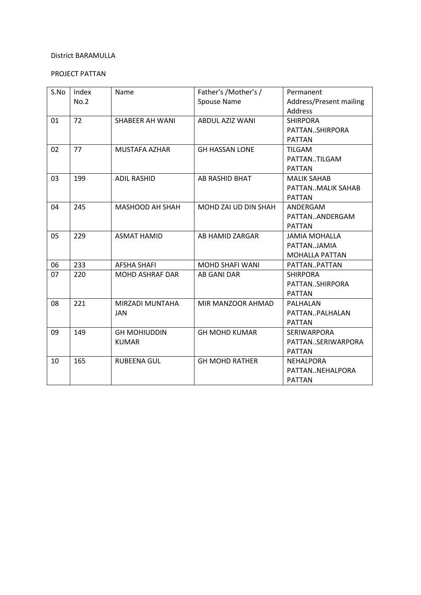# PROJECT PATTAN

| S.No | Index<br>No.2 | Name                   | Father's /Mother's /<br>Spouse Name | Permanent<br>Address/Present mailing |
|------|---------------|------------------------|-------------------------------------|--------------------------------------|
|      |               |                        |                                     | Address                              |
| 01   | 72            | SHABEER AH WANI        | <b>ABDUL AZIZ WANI</b>              | <b>SHIRPORA</b>                      |
|      |               |                        |                                     | PATTANSHIRPORA                       |
|      |               |                        |                                     | <b>PATTAN</b>                        |
| 02   | 77            | MUSTAFA AZHAR          | <b>GH HASSAN LONE</b>               | <b>TILGAM</b>                        |
|      |               |                        |                                     | PATTANTILGAM                         |
|      |               |                        |                                     | <b>PATTAN</b>                        |
| 03   | 199           | <b>ADIL RASHID</b>     | AB RASHID BHAT                      | <b>MALIK SAHAB</b>                   |
|      |               |                        |                                     | PATTANMALIK SAHAB                    |
|      |               |                        |                                     | <b>PATTAN</b>                        |
| 04   | 245           | MASHOOD AH SHAH        | MOHD ZAI UD DIN SHAH                | ANDERGAM                             |
|      |               |                        |                                     | PATTANANDERGAM                       |
|      |               |                        |                                     | <b>PATTAN</b>                        |
| 05   | 229           | <b>ASMAT HAMID</b>     | AB HAMID ZARGAR                     | <b>JAMIA MOHALLA</b>                 |
|      |               |                        |                                     | PATTAN.JAMIA                         |
|      |               |                        |                                     | <b>MOHALLA PATTAN</b>                |
| 06   | 233           | <b>AFSHA SHAFI</b>     | <b>MOHD SHAFI WANI</b>              | PATTANPATTAN                         |
| 07   | 220           | <b>MOHD ASHRAF DAR</b> | AB GANI DAR                         | <b>SHIRPORA</b>                      |
|      |               |                        |                                     | PATTANSHIRPORA                       |
|      |               |                        |                                     | <b>PATTAN</b>                        |
| 08   | 221           | MIRZADI MUNTAHA        | MIR MANZOOR AHMAD                   | PALHALAN                             |
|      |               | <b>JAN</b>             |                                     | PATTANPALHALAN                       |
|      |               |                        |                                     | <b>PATTAN</b>                        |
| 09   | 149           | <b>GH MOHIUDDIN</b>    | <b>GH MOHD KUMAR</b>                | <b>SERIWARPORA</b>                   |
|      |               | <b>KUMAR</b>           |                                     | PATTANSERIWARPORA                    |
|      |               |                        |                                     | <b>PATTAN</b>                        |
| 10   | 165           | <b>RUBEENA GUL</b>     | <b>GH MOHD RATHER</b>               | <b>NEHALPORA</b>                     |
|      |               |                        |                                     | PATTANNEHALPORA                      |
|      |               |                        |                                     | <b>PATTAN</b>                        |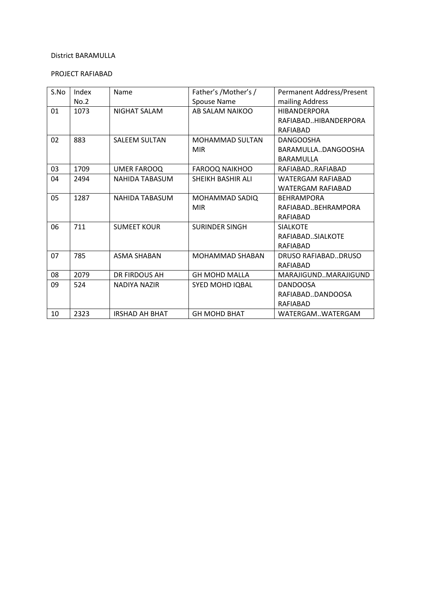### PROJECT RAFIABAD

| S.No | Index | Name                  | Father's /Mother's /     | <b>Permanent Address/Present</b> |
|------|-------|-----------------------|--------------------------|----------------------------------|
|      | No.2  |                       | Spouse Name              | mailing Address                  |
| 01   | 1073  | NIGHAT SALAM          | AB SALAM NAIKOO          | <b>HIBANDFRPORA</b>              |
|      |       |                       |                          | RAFIABADHIBANDERPORA             |
|      |       |                       |                          | RAFIABAD                         |
| 02   | 883   | <b>SALEEM SULTAN</b>  | <b>MOHAMMAD SULTAN</b>   | <b>DANGOOSHA</b>                 |
|      |       |                       | <b>MIR</b>               | BARAMULLADANGOOSHA               |
|      |       |                       |                          | <b>BARAMULLA</b>                 |
| 03   | 1709  | <b>UMER FAROOQ</b>    | <b>FAROOQ NAIKHOO</b>    | RAFIABADRAFIABAD                 |
| 04   | 2494  | <b>NAHIDA TABASUM</b> | <b>SHEIKH BASHIR ALI</b> | <b>WATFRGAM RAFIABAD</b>         |
|      |       |                       |                          | <b>WATERGAM RAFIABAD</b>         |
| 05   | 1287  | <b>NAHIDA TABASUM</b> | MOHAMMAD SADIQ           | <b>BEHRAMPORA</b>                |
|      |       |                       | <b>MIR</b>               | RAFIABADBEHRAMPORA               |
|      |       |                       |                          | <b>RAFIABAD</b>                  |
| 06   | 711   | <b>SUMEET KOUR</b>    | <b>SURINDER SINGH</b>    | <b>SIALKOTE</b>                  |
|      |       |                       |                          | RAFIABADSIALKOTE                 |
|      |       |                       |                          | RAFIABAD                         |
| 07   | 785   | <b>ASMA SHABAN</b>    | <b>MOHAMMAD SHABAN</b>   | DRUSO RAFIABADDRUSO              |
|      |       |                       |                          | RAFIARAD                         |
| 08   | 2079  | DR FIRDOUS AH         | <b>GH MOHD MALLA</b>     | MARAJIGUNDMARAJIGUND             |
| 09   | 524   | <b>NADIYA NAZIR</b>   | SYED MOHD IQBAL          | <b>DANDOOSA</b>                  |
|      |       |                       |                          | RAFIABADDANDOOSA                 |
|      |       |                       |                          | RAFIABAD                         |
| 10   | 2323  | <b>IRSHAD AH BHAT</b> | <b>GH MOHD BHAT</b>      | WATERGAMWATERGAM                 |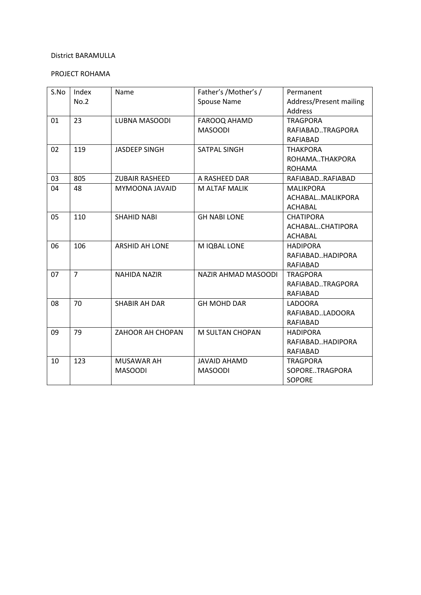# PROJECT ROHAMA

| S.No | Index<br>No.2  | Name                  | Father's /Mother's /<br>Spouse Name | Permanent<br>Address/Present mailing |
|------|----------------|-----------------------|-------------------------------------|--------------------------------------|
| 01   | 23             | LUBNA MASOODI         | FAROOQ AHAMD                        | <b>Address</b><br><b>TRAGPORA</b>    |
|      |                |                       | <b>MASOODI</b>                      | RAFIABADTRAGPORA<br>RAFIABAD         |
| 02   | 119            | <b>JASDEEP SINGH</b>  | <b>SATPAL SINGH</b>                 | <b>THAKPORA</b>                      |
|      |                |                       |                                     | ROHAMATHAKPORA                       |
|      |                |                       |                                     | <b>ROHAMA</b>                        |
| 03   | 805            | <b>ZUBAIR RASHEED</b> | A RASHEED DAR                       | RAFIABADRAFIABAD                     |
| 04   | 48             | MYMOONA JAVAID        | M ALTAF MALIK                       | <b>MALIKPORA</b>                     |
|      |                |                       |                                     | ACHABALMALIKPORA                     |
|      |                |                       |                                     | <b>ACHABAL</b>                       |
| 05   | 110            | <b>SHAHID NABI</b>    | <b>GH NABI LONE</b>                 | <b>CHATIPORA</b>                     |
|      |                |                       |                                     | ACHABALCHATIPORA                     |
|      |                |                       |                                     | ACHABAL                              |
| 06   | 106            | <b>ARSHID AH LONE</b> | M IQBAL LONE                        | <b>HADIPORA</b>                      |
|      |                |                       |                                     | RAFIABADHADIPORA                     |
|      |                |                       |                                     | RAFIABAD                             |
| 07   | $\overline{7}$ | <b>NAHIDA NAZIR</b>   | NAZIR AHMAD MASOODI                 | <b>TRAGPORA</b>                      |
|      |                |                       |                                     | RAFIABADTRAGPORA                     |
|      |                |                       |                                     | RAFIABAD                             |
| 08   | 70             | <b>SHABIR AH DAR</b>  | <b>GH MOHD DAR</b>                  | LADOORA                              |
|      |                |                       |                                     | RAFIABADLADOORA                      |
|      |                |                       |                                     | RAFIABAD                             |
| 09   | 79             | ZAHOOR AH CHOPAN      | <b>M SULTAN CHOPAN</b>              | <b>HADIPORA</b>                      |
|      |                |                       |                                     | RAFIABADHADIPORA                     |
|      |                |                       |                                     | RAFIABAD                             |
| 10   | 123            | <b>MUSAWAR AH</b>     | <b>JAVAID AHAMD</b>                 | <b>TRAGPORA</b>                      |
|      |                | <b>MASOODI</b>        | <b>MASOODI</b>                      | SOPORETRAGPORA                       |
|      |                |                       |                                     | <b>SOPORE</b>                        |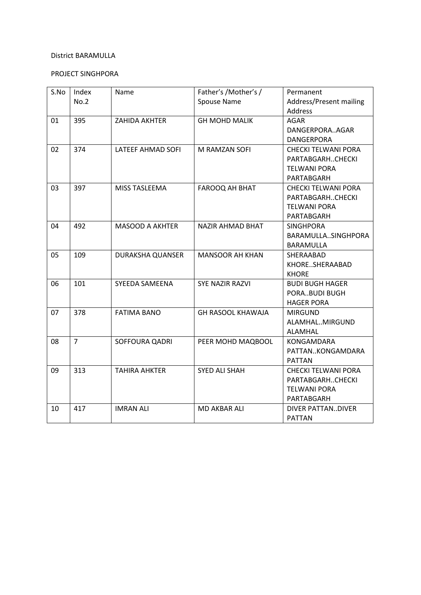# PROJECT SINGHPORA

| S.No | Index          | Name                   | Father's /Mother's /     | Permanent                  |
|------|----------------|------------------------|--------------------------|----------------------------|
|      | No.2           |                        | Spouse Name              | Address/Present mailing    |
|      |                |                        |                          | Address                    |
| 01   | 395            | ZAHIDA AKHTER          | <b>GH MOHD MALIK</b>     | <b>AGAR</b>                |
|      |                |                        |                          | DANGERPORAAGAR             |
|      |                |                        |                          | DANGERPORA                 |
| 02   | 374            | LATEEF AHMAD SOFI      | M RAMZAN SOFI            | <b>CHECKI TELWANI PORA</b> |
|      |                |                        |                          | PARTABGARHCHECKI           |
|      |                |                        |                          | <b>TELWANI PORA</b>        |
|      |                |                        |                          | PARTABGARH                 |
| 03   | 397            | <b>MISS TASLEEMA</b>   | <b>FAROOQ AH BHAT</b>    | <b>CHECKI TELWANI PORA</b> |
|      |                |                        |                          | PARTABGARHCHECKI           |
|      |                |                        |                          | <b>TELWANI PORA</b>        |
|      |                |                        |                          | PARTABGARH                 |
| 04   | 492            | <b>MASOOD A AKHTER</b> | <b>NAZIR AHMAD BHAT</b>  | <b>SINGHPORA</b>           |
|      |                |                        |                          | BARAMULLASINGHPORA         |
|      |                |                        |                          | BARAMULLA                  |
| 05   | 109            | DURAKSHA QUANSER       | <b>MANSOOR AH KHAN</b>   | SHERAABAD                  |
|      |                |                        |                          | KHORESHERAABAD             |
|      |                |                        |                          | <b>KHORE</b>               |
| 06   | 101            | SYEEDA SAMEENA         | <b>SYE NAZIR RAZVI</b>   | <b>BUDI BUGH HAGER</b>     |
|      |                |                        |                          | PORABUDI BUGH              |
|      |                |                        |                          | <b>HAGER PORA</b>          |
| 07   | 378            | <b>FATIMA BANO</b>     | <b>GH RASOOL KHAWAJA</b> | <b>MIRGUND</b>             |
|      |                |                        |                          | ALAMHALMIRGUND             |
|      |                |                        |                          | <b>ALAMHAL</b>             |
| 08   | $\overline{7}$ | <b>SOFFOURA QADRI</b>  | PEER MOHD MAQBOOL        | <b>KONGAMDARA</b>          |
|      |                |                        |                          | PATTANKONGAMDARA           |
|      |                |                        |                          | <b>PATTAN</b>              |
| 09   | 313            | <b>TAHIRA AHKTER</b>   | SYED ALI SHAH            | <b>CHECKI TELWANI PORA</b> |
|      |                |                        |                          | PARTABGARHCHECKI           |
|      |                |                        |                          | <b>TELWANI PORA</b>        |
|      |                |                        |                          | PARTABGARH                 |
| 10   | 417            | <b>IMRAN ALI</b>       | <b>MD AKBAR ALI</b>      | DIVER PATTANDIVER          |
|      |                |                        |                          | <b>PATTAN</b>              |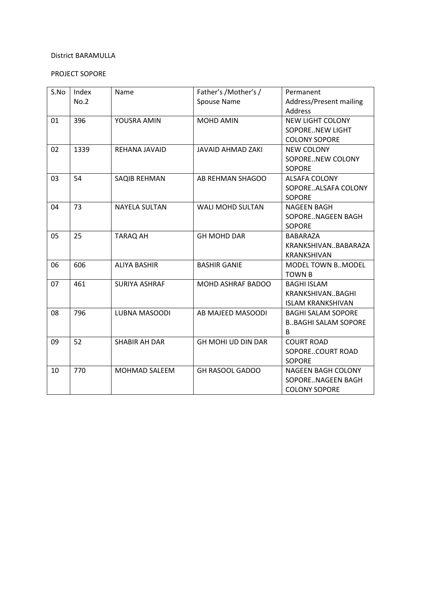# PROJECT SOPORE

| S.No | Index | Name                 | Father's /Mother's /      | Permanent                  |
|------|-------|----------------------|---------------------------|----------------------------|
|      | No.2  |                      | Spouse Name               | Address/Present mailing    |
|      |       |                      |                           | <b>Address</b>             |
| 01   | 396   | YOUSRA AMIN          | <b>MOHD AMIN</b>          | <b>NEW LIGHT COLONY</b>    |
|      |       |                      |                           | <b>SOPORENEW LIGHT</b>     |
|      |       |                      |                           | <b>COLONY SOPORE</b>       |
| 02   | 1339  | REHANA JAVAID        | <b>JAVAID AHMAD ZAKI</b>  | <b>NEW COLONY</b>          |
|      |       |                      |                           | SOPORENEW COLONY           |
|      |       |                      |                           | <b>SOPORE</b>              |
| 03   | 54    | SAQIB REHMAN         | AB REHMAN SHAGOO          | <b>ALSAFA COLONY</b>       |
|      |       |                      |                           | SOPOREALSAFA COLONY        |
|      |       |                      |                           | <b>SOPORE</b>              |
| 04   | 73    | <b>NAYELA SULTAN</b> | <b>WALI MOHD SULTAN</b>   | <b>NAGEEN BAGH</b>         |
|      |       |                      |                           | SOPORENAGEEN BAGH          |
|      |       |                      |                           | <b>SOPORE</b>              |
| 05   | 25    | <b>TARAQ AH</b>      | <b>GH MOHD DAR</b>        | BABARAZA                   |
|      |       |                      |                           | KRANKSHIVANBABARAZA        |
|      |       |                      |                           | <b>KRANKSHIVAN</b>         |
| 06   | 606   | <b>ALIYA BASHIR</b>  | <b>BASHIR GANIE</b>       | <b>MODEL TOWN B. MODEL</b> |
|      |       |                      |                           | <b>TOWN B</b>              |
| 07   | 461   | <b>SURIYA ASHRAF</b> | <b>MOHD ASHRAF BADOO</b>  | <b>BAGHI ISLAM</b>         |
|      |       |                      |                           | KRANKSHIVANBAGHI           |
|      |       |                      |                           | <b>ISLAM KRANKSHIVAN</b>   |
| 08   | 796   | LUBNA MASOODI        | AB MAJEED MASOODI         | <b>BAGHI SALAM SOPORE</b>  |
|      |       |                      |                           | <b>BBAGHI SALAM SOPORE</b> |
|      |       |                      |                           | B                          |
| 09   | 52    | <b>SHABIR AH DAR</b> | <b>GH MOHI UD DIN DAR</b> | <b>COURT ROAD</b>          |
|      |       |                      |                           | SOPORECOURT ROAD           |
|      |       |                      |                           | <b>SOPORE</b>              |
| 10   | 770   | <b>MOHMAD SALEEM</b> | <b>GH RASOOL GADOO</b>    | <b>NAGEEN BAGH COLONY</b>  |
|      |       |                      |                           | SOPORENAGEEN BAGH          |
|      |       |                      |                           | <b>COLONY SOPORE</b>       |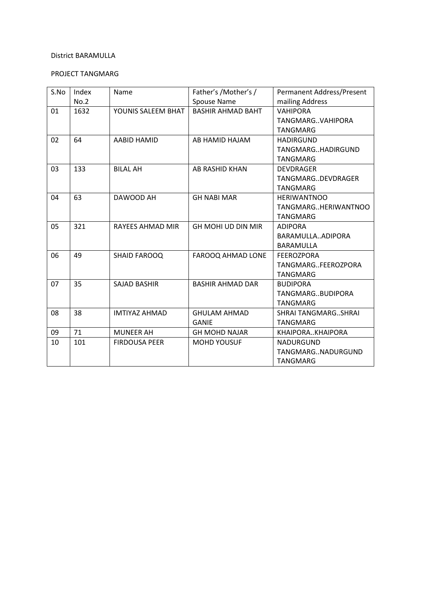# PROJECT TANGMARG

| S.No | Index<br>No.2 | Name                 | Father's /Mother's /<br>Spouse Name | Permanent Address/Present<br>mailing Address                 |
|------|---------------|----------------------|-------------------------------------|--------------------------------------------------------------|
| 01   | 1632          | YOUNIS SALEEM BHAT   | <b>BASHIR AHMAD BAHT</b>            | <b>VAHIPORA</b><br>TANGMARGVAHIPORA<br><b>TANGMARG</b>       |
| 02   | 64            | AABID HAMID          | AB HAMID HAJAM                      | <b>HADIRGUND</b><br>TANGMARGHADIRGUND<br><b>TANGMARG</b>     |
| 03   | 133           | <b>BILAL AH</b>      | AB RASHID KHAN                      | <b>DEVDRAGER</b><br>TANGMARGDEVDRAGER<br><b>TANGMARG</b>     |
| 04   | 63            | DAWOOD AH            | <b>GH NABI MAR</b>                  | <b>HERIWANTNOO</b><br>TANGMARGHERIWANTNOO<br><b>TANGMARG</b> |
| 05   | 321           | RAYEES AHMAD MIR     | <b>GH MOHI UD DIN MIR</b>           | <b>ADIPORA</b><br>BARAMULLAADIPORA<br>BARAMULLA              |
| 06   | 49            | <b>SHAID FAROOQ</b>  | FAROOQ AHMAD LONE                   | <b>FEEROZPORA</b><br>TANGMARGFEEROZPORA<br><b>TANGMARG</b>   |
| 07   | 35            | <b>SAJAD BASHIR</b>  | <b>BASHIR AHMAD DAR</b>             | <b>BUDIPORA</b><br>TANGMARGBUDIPORA<br><b>TANGMARG</b>       |
| 08   | 38            | <b>IMTIYAZ AHMAD</b> | <b>GHULAM AHMAD</b><br><b>GANIE</b> | <b>SHRAI TANGMARGSHRAI</b><br><b>TANGMARG</b>                |
| 09   | 71            | <b>MUNEER AH</b>     | <b>GH MOHD NAJAR</b>                | KHAIPORAKHAIPORA                                             |
| 10   | 101           | <b>FIRDOUSA PEER</b> | <b>MOHD YOUSUF</b>                  | <b>NADURGUND</b><br>TANGMARGNADURGUND<br>TANGMARG            |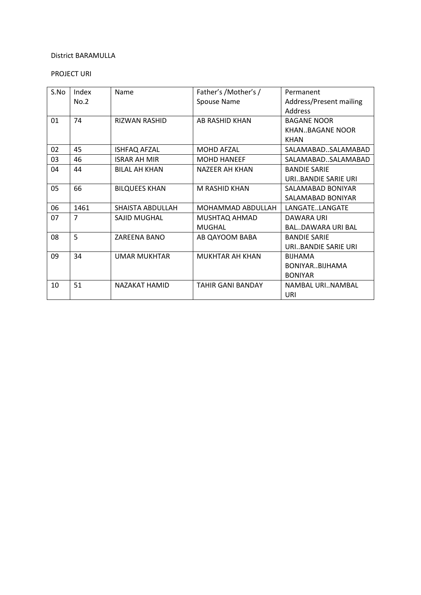# PROJECT URI

| S.No | Index          | Name                 | Father's / Mother's /    | Permanent                |
|------|----------------|----------------------|--------------------------|--------------------------|
|      | No.2           |                      | Spouse Name              | Address/Present mailing  |
|      |                |                      |                          | Address                  |
| 01   | 74             | <b>RIZWAN RASHID</b> | <b>AB RASHID KHAN</b>    | <b>BAGANE NOOR</b>       |
|      |                |                      |                          | KHANBAGANE NOOR          |
|      |                |                      |                          | <b>KHAN</b>              |
| 02   | 45             | <b>ISHFAQ AFZAL</b>  | <b>MOHD AFZAL</b>        | SALAMABADSALAMABAD       |
| 03   | 46             | <b>ISRAR AH MIR</b>  | <b>MOHD HANEEF</b>       | SALAMABADSALAMABAD       |
| 04   | 44             | <b>BILAL AH KHAN</b> | <b>NAZEER AH KHAN</b>    | <b>BANDIE SARIE</b>      |
|      |                |                      |                          | URIBANDIE SARIE URI      |
| 05   | 66             | <b>BILQUEES KHAN</b> | M RASHID KHAN            | SALAMABAD BONIYAR        |
|      |                |                      |                          | SALAMABAD BONIYAR        |
| 06   | 1461           | SHAISTA ABDULLAH     | MOHAMMAD ABDULLAH        | LANGATELANGATE           |
| 07   | $\overline{7}$ | SAJID MUGHAL         | MUSHTAQ AHMAD            | DAWARA URI               |
|      |                |                      | <b>MUGHAL</b>            | <b>BALDAWARA URI BAL</b> |
| 08   | 5              | ZAREENA BANO         | AB QAYOOM BABA           | <b>BANDIE SARIE</b>      |
|      |                |                      |                          | URIBANDIE SARIE URI      |
| 09   | 34             | UMAR MUKHTAR         | MUKHTAR AH KHAN          | <b>BIJHAMA</b>           |
|      |                |                      |                          | BONIYARBIJHAMA           |
|      |                |                      |                          | <b>BONIYAR</b>           |
| 10   | 51             | <b>NAZAKAT HAMID</b> | <b>TAHIR GANI BANDAY</b> | NAMBAL URINAMBAL         |
|      |                |                      |                          | URI                      |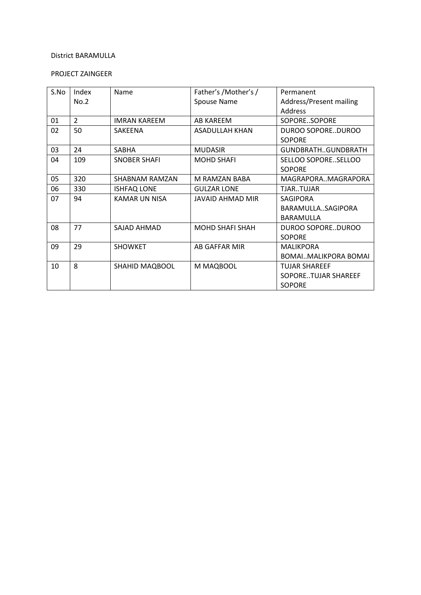# PROJECT ZAINGEER

| S.No | Index          | Name                 | Father's /Mother's /    | Permanent               |
|------|----------------|----------------------|-------------------------|-------------------------|
|      | No.2           |                      | Spouse Name             | Address/Present mailing |
|      |                |                      |                         | Address                 |
| 01   | $\overline{2}$ | <b>IMRAN KAREEM</b>  | AB KAREEM               | SOPORESOPORE            |
| 02   | 50             | SAKEENA              | <b>ASADULLAH KHAN</b>   | DUROO SOPOREDUROO       |
|      |                |                      |                         | <b>SOPORE</b>           |
| 03   | 24             | <b>SABHA</b>         | <b>MUDASIR</b>          | GUNDBRATHGUNDBRATH      |
| 04   | 109            | <b>SNOBER SHAFI</b>  | <b>MOHD SHAFI</b>       | SELLOO SOPORESELLOO     |
|      |                |                      |                         | <b>SOPORF</b>           |
| 05   | 320            | SHABNAM RAMZAN       | M RAMZAN BABA           | MAGRAPORAMAGRAPORA      |
| 06   | 330            | <b>ISHFAQ LONE</b>   | <b>GULZAR LONE</b>      | TJAR.TUJAR              |
| 07   | 94             | <b>KAMAR UN NISA</b> | <b>JAVAID AHMAD MIR</b> | <b>SAGIPORA</b>         |
|      |                |                      |                         | BARAMULLASAGIPORA       |
|      |                |                      |                         | <b>BARAMULLA</b>        |
| 08   | 77             | SAIAD AHMAD          | <b>MOHD SHAFI SHAH</b>  | DUROO SOPOREDUROO       |
|      |                |                      |                         | <b>SOPORE</b>           |
| 09   | 29             | <b>SHOWKET</b>       | AB GAFFAR MIR           | <b>MALIKPORA</b>        |
|      |                |                      |                         | BOMAIMALIKPORA BOMAI    |
| 10   | 8              | SHAHID MAQBOOL       | M MAQBOOL               | <b>TUJAR SHAREEF</b>    |
|      |                |                      |                         | SOPORETUJAR SHAREEF     |
|      |                |                      |                         | <b>SOPORE</b>           |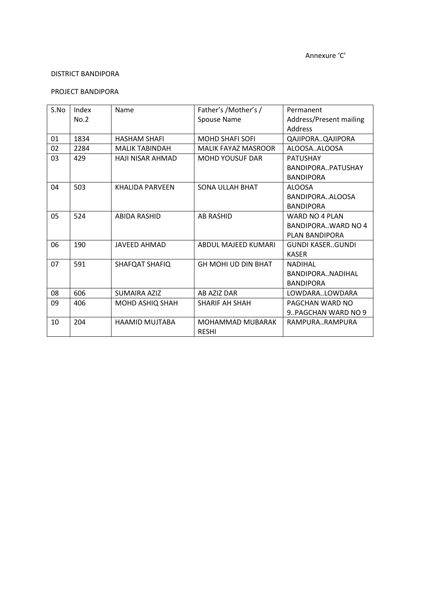### PROJECT BANDIPORA

| S.No | Index | Name                    | Father's /Mother's /       | Permanent                 |
|------|-------|-------------------------|----------------------------|---------------------------|
|      | No.2  |                         | Spouse Name                | Address/Present mailing   |
|      |       |                         |                            | Address                   |
| 01   | 1834  | <b>HASHAM SHAFI</b>     | <b>MOHD SHAFI SOFI</b>     | QAJIPORAQAJIPORA          |
| 02   | 2284  | <b>MALIK TABINDAH</b>   | <b>MALIK FAYAZ MASROOR</b> | ALOOSAALOOSA              |
| 03   | 429   | <b>HAJI NISAR AHMAD</b> | <b>MOHD YOUSUF DAR</b>     | <b>PATUSHAY</b>           |
|      |       |                         |                            | BANDIPORAPATUSHAY         |
|      |       |                         |                            | <b>BANDIPORA</b>          |
| 04   | 503   | KHALIDA PARVFFN         | <b>SONA ULLAH BHAT</b>     | <b>ALOOSA</b>             |
|      |       |                         |                            | BANDIPORAALOOSA           |
|      |       |                         |                            | <b>BANDIPORA</b>          |
| 05   | 524   | <b>ABIDA RASHID</b>     | <b>AB RASHID</b>           | WARD NO 4 PLAN            |
|      |       |                         |                            | <b>BANDIPORAWARD NO 4</b> |
|      |       |                         |                            | PLAN BANDIPORA            |
| 06   | 190   | JAVEED AHMAD            | ABDUL MAJEED KUMARI        | <b>GUNDI KASERGUNDI</b>   |
|      |       |                         |                            | <b>KASFR</b>              |
| 07   | 591   | SHAFQAT SHAFIQ          | GH MOHI UD DIN BHAT        | <b>NADIHAL</b>            |
|      |       |                         |                            | BANDIPORANADIHAL          |
|      |       |                         |                            | <b>BANDIPORA</b>          |
| 08   | 606   | <b>SUMAIRA AZIZ</b>     | AB AZIZ DAR                | LOWDARALOWDARA            |
| 09   | 406   | MOHD ASHIQ SHAH         | <b>SHARIF AH SHAH</b>      | PAGCHAN WARD NO           |
|      |       |                         |                            | 9. PAGCHAN WARD NO 9      |
| 10   | 204   | HAAMID MUJTABA          | MOHAMMAD MUBARAK           | RAMPURARAMPURA            |
|      |       |                         | <b>RESHI</b>               |                           |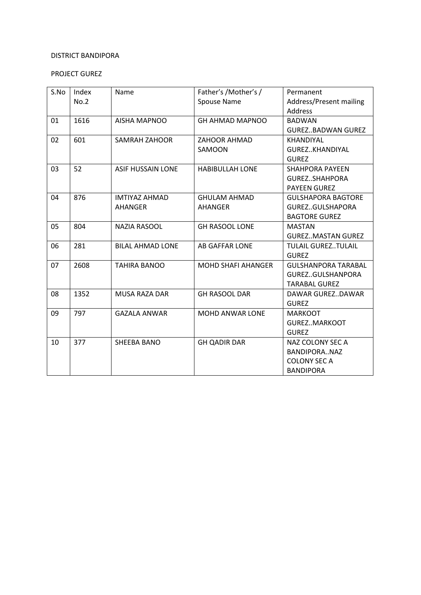# PROJECT GUREZ

| S.No | Index<br>No.2 | Name                     | Father's /Mother's /<br><b>Spouse Name</b> | Permanent<br><b>Address/Present mailing</b> |
|------|---------------|--------------------------|--------------------------------------------|---------------------------------------------|
|      |               |                          |                                            | <b>Address</b>                              |
| 01   | 1616          | <b>AISHA MAPNOO</b>      | <b>GH AHMAD MAPNOO</b>                     | <b>BADWAN</b>                               |
|      |               |                          |                                            | <b>GUREZBADWAN GUREZ</b>                    |
| 02   | 601           | <b>SAMRAH ZAHOOR</b>     | <b>ZAHOOR AHMAD</b>                        | <b>KHANDIYAL</b>                            |
|      |               |                          | SAMOON                                     | GUREZKHANDIYAL                              |
|      |               |                          |                                            | <b>GUREZ</b>                                |
| 03   | 52            | <b>ASIF HUSSAIN LONE</b> | <b>HABIBULLAH LONE</b>                     | <b>SHAHPORA PAYEEN</b>                      |
|      |               |                          |                                            | GUREZSHAHPORA                               |
|      |               |                          |                                            | <b>PAYEEN GUREZ</b>                         |
| 04   | 876           | <b>IMTIYAZ AHMAD</b>     | <b>GHULAM AHMAD</b>                        | <b>GULSHAPORA BAGTORE</b>                   |
|      |               | <b>AHANGER</b>           | <b>AHANGER</b>                             | GUREZGULSHAPORA                             |
|      |               |                          |                                            | <b>BAGTORE GUREZ</b>                        |
| 05   | 804           | <b>NAZIA RASOOL</b>      | <b>GH RASOOL LONE</b>                      | <b>MASTAN</b>                               |
|      |               |                          |                                            | <b>GUREZMASTAN GUREZ</b>                    |
| 06   | 281           | <b>BILAL AHMAD LONE</b>  | <b>AB GAFFAR LONE</b>                      | <b>TULAIL GUREZTULAIL</b>                   |
|      |               |                          |                                            | <b>GUREZ</b>                                |
| 07   | 2608          | <b>TAHIRA BANOO</b>      | <b>MOHD SHAFI AHANGER</b>                  | <b>GULSHANPORA TARABAL</b>                  |
|      |               |                          |                                            | GUREZGULSHANPORA                            |
|      |               |                          |                                            | <b>TARABAL GUREZ</b>                        |
| 08   | 1352          | <b>MUSA RAZA DAR</b>     | <b>GH RASOOL DAR</b>                       | DAWAR GUREZ., DAWAR                         |
|      |               |                          |                                            | <b>GUREZ</b>                                |
| 09   | 797           | <b>GAZALA ANWAR</b>      | <b>MOHD ANWAR LONE</b>                     | <b>MARKOOT</b>                              |
|      |               |                          |                                            | <b>GUREZMARKOOT</b>                         |
|      |               |                          |                                            | <b>GUREZ</b>                                |
| 10   | 377           | <b>SHEEBA BANO</b>       | <b>GH QADIR DAR</b>                        | NAZ COLONY SEC A                            |
|      |               |                          |                                            | BANDIPORANAZ                                |
|      |               |                          |                                            | <b>COLONY SEC A</b>                         |
|      |               |                          |                                            | <b>BANDIPORA</b>                            |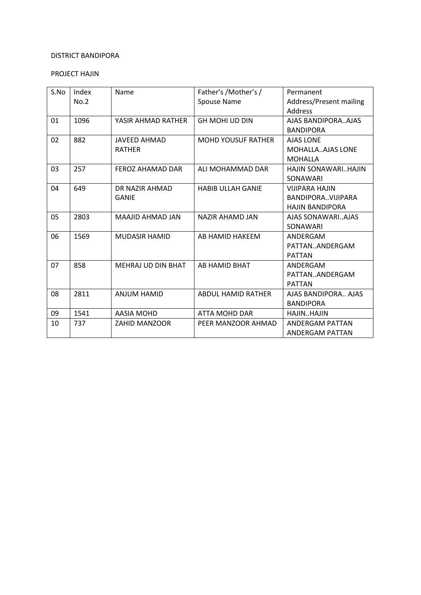### PROJECT HAJIN

| S.No | Index | Name                      | Father's / Mother's /     | Permanent               |
|------|-------|---------------------------|---------------------------|-------------------------|
|      | No.2  |                           | Spouse Name               | Address/Present mailing |
|      |       |                           |                           | Address                 |
| 01   | 1096  | YASIR AHMAD RATHER        | <b>GH MOHI UD DIN</b>     | AJAS BANDIPORAAJAS      |
|      |       |                           |                           | <b>BANDIPORA</b>        |
| 02   | 882   | <b>JAVEED AHMAD</b>       | <b>MOHD YOUSUF RATHER</b> | <b>AJAS LONE</b>        |
|      |       | <b>RATHER</b>             |                           | <b>MOHALLAAJAS LONE</b> |
|      |       |                           |                           | <b>MOHALLA</b>          |
| 03   | 257   | <b>FEROZ AHAMAD DAR</b>   | ALI MOHAMMAD DAR          | HAJIN SONAWARIHAJIN     |
|      |       |                           |                           | SONAWARI                |
| 04   | 649   | DR NAZIR AHMAD            | <b>HABIB ULLAH GANIE</b>  | <b>VIIIPARA HAIIN</b>   |
|      |       | <b>GANIE</b>              |                           | BANDIPORAVIJIPARA       |
|      |       |                           |                           | <b>HAJIN BANDIPORA</b>  |
| 05   | 2803  | MAAJID AHMAD JAN          | <b>NAZIR AHAMD JAN</b>    | AJAS SONAWARIAJAS       |
|      |       |                           |                           | SONAWARI                |
| 06   | 1569  | <b>MUDASIR HAMID</b>      | AB HAMID HAKEEM           | ANDERGAM                |
|      |       |                           |                           | PATTANANDERGAM          |
|      |       |                           |                           | <b>PATTAN</b>           |
| 07   | 858   | <b>MEHRAJ UD DIN BHAT</b> | AB HAMID BHAT             | ANDERGAM                |
|      |       |                           |                           | PATTANANDERGAM          |
|      |       |                           |                           | <b>PATTAN</b>           |
| 08   | 2811  | <b>ANJUM HAMID</b>        | <b>ABDUL HAMID RATHER</b> | AJAS BANDIPORA AJAS     |
|      |       |                           |                           | <b>BANDIPORA</b>        |
| 09   | 1541  | <b>AASIA MOHD</b>         | ATTA MOHD DAR             | HAJINHAJIN              |
| 10   | 737   | <b>ZAHID MANZOOR</b>      | PEER MANZOOR AHMAD        | <b>ANDERGAM PATTAN</b>  |
|      |       |                           |                           | ANDERGAM PATTAN         |